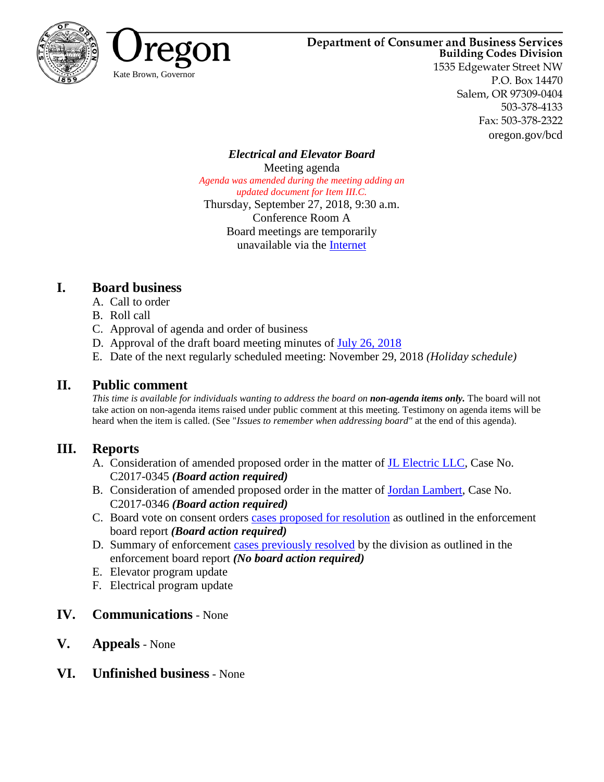



# **Department of Consumer and Business Services**

**Building Codes Division** 1535 Edgewater Street NW P.O. Box 14470 Salem, OR 97309-0404 503-378-4133 Fax: 503-378-2322 oregon.gov/bcd

*Electrical and Elevator Board* Meeting agenda *Agenda was amended during the meeting adding an updated document for Item III.C.* Thursday, September 27, 2018, 9:30 a.m. Conference Room A Board meetings are temporarily unavailable via the [Internet](https://www.oregon.gov/bcd/boards/Pages/index.aspx)

# **I. Board business**

- A. Call to order
- B. Roll call
- C. Approval of agenda and order of business
- D. Approval of the draft board meeting minutes of [July 26, 2018](#page-2-0)
- E. Date of the next regularly scheduled meeting: November 29, 2018 *(Holiday schedule)*

# **II. Public comment**

*This time is available for individuals wanting to address the board on non-agenda items only.* The board will not take action on non-agenda items raised under public comment at this meeting. Testimony on agenda items will be heard when the item is called. (See "*Issues to remember when addressing board"* at the end of this agenda).

# **III. Reports**

- A. Consideration of amended proposed order in the matter of [JL Electric LLC](#page-6-0), Case No. C2017-0345 *(Board action required)*
- B. Consideration of amended proposed order in the matter of [Jordan Lambert,](#page-23-0) Case No. C2017-0346 *(Board action required)*
- C. Board vote on consent orders [cases proposed for resolution](#page-36-0) as outlined in the enforcement board report *(Board action required)*
- D. Summary of enforcement [cases previously resolved](#page-40-0) by the division as outlined in the enforcement board report *(No board action required)*
- E. Elevator program update
- F. Electrical program update
- **IV. Communications** None
- **V. Appeals** None
- **VI. Unfinished business** None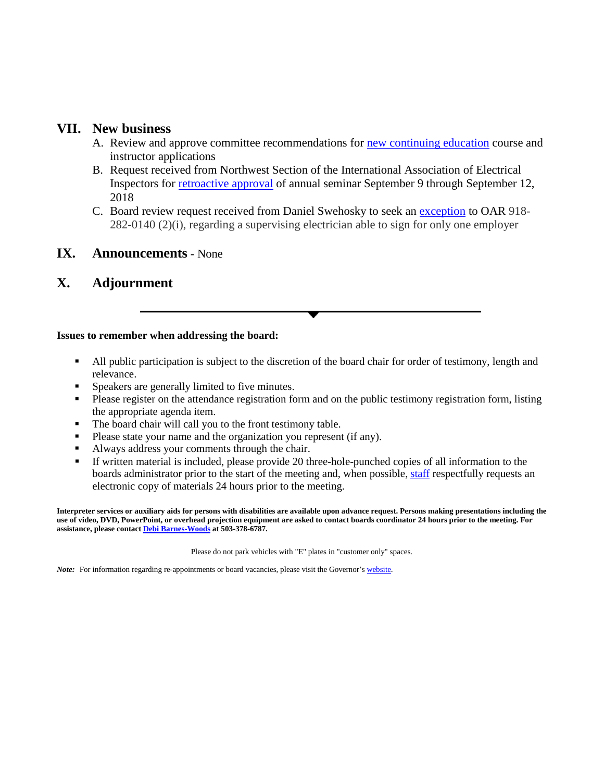### **VII. New business**

- A. Review and approve committee recommendations for [new continuing education](#page-41-0) course and instructor applications
- B. Request received from Northwest Section of the International Association of Electrical Inspectors for [retroactive approval](#page-46-0) of annual seminar September 9 through September 12, 2018
- C. Board review request received from Daniel Swehosky to seek an [exception](#page-47-0) to OAR 918- 282-0140 (2)(i), regarding a supervising electrician able to sign for only one employer

### **IX. Announcements** - None

### **X. Adjournment**

### **Issues to remember when addressing the board:**

- All public participation is subject to the discretion of the board chair for order of testimony, length and relevance.
- **Speakers are generally limited to five minutes.**
- **Please register on the attendance registration form and on the public testimony registration form, listing** the appropriate agenda item.
- The board chair will call you to the front testimony table.
- **Please state your name and the organization you represent (if any).**
- Always address your comments through the chair.
- If written material is included, please provide 20 three-hole-punched copies of all information to the boards administrator prior to the start of the meeting and, when possible, [staff](mailto:Debra.j.woods@oregon.gov) respectfully requests an electronic copy of materials 24 hours prior to the meeting.

**Interpreter services or auxiliary aids for persons with disabilities are available upon advance request. Persons making presentations including the use of video, DVD, PowerPoint, or overhead projection equipment are asked to contact boards coordinator 24 hours prior to the meeting. For assistance, please contac[t Debi Barnes-Woods](mailto:Debra.j.woods@oregon.gov) at 503-378-6787.**

Please do not park vehicles with "E" plates in "customer only" spaces.

*Note:* For information regarding re-appointments or board vacancies, please visit the Governor's [website.](http://www.oregon.gov/gov/admin/Pages/How_To_Apply.aspx)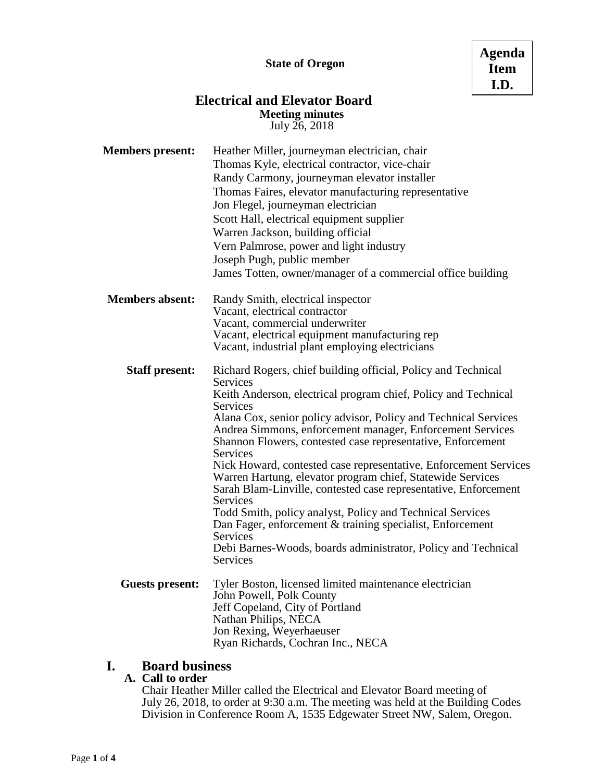### **Electrical and Elevator Board Meeting minutes** July 26, 2018

<span id="page-2-0"></span>

| <b>Members present:</b> | Heather Miller, journeyman electrician, chair                                      |  |  |  |  |
|-------------------------|------------------------------------------------------------------------------------|--|--|--|--|
|                         | Thomas Kyle, electrical contractor, vice-chair                                     |  |  |  |  |
|                         | Randy Carmony, journeyman elevator installer                                       |  |  |  |  |
|                         | Thomas Faires, elevator manufacturing representative                               |  |  |  |  |
|                         | Jon Flegel, journeyman electrician                                                 |  |  |  |  |
|                         | Scott Hall, electrical equipment supplier                                          |  |  |  |  |
|                         | Warren Jackson, building official                                                  |  |  |  |  |
|                         | Vern Palmrose, power and light industry                                            |  |  |  |  |
|                         | Joseph Pugh, public member                                                         |  |  |  |  |
|                         | James Totten, owner/manager of a commercial office building                        |  |  |  |  |
| <b>Members absent:</b>  | Randy Smith, electrical inspector                                                  |  |  |  |  |
|                         | Vacant, electrical contractor                                                      |  |  |  |  |
|                         | Vacant, commercial underwriter                                                     |  |  |  |  |
|                         | Vacant, electrical equipment manufacturing rep                                     |  |  |  |  |
|                         | Vacant, industrial plant employing electricians                                    |  |  |  |  |
| <b>Staff present:</b>   | Richard Rogers, chief building official, Policy and Technical                      |  |  |  |  |
|                         | Services                                                                           |  |  |  |  |
|                         | Keith Anderson, electrical program chief, Policy and Technical                     |  |  |  |  |
|                         | <b>Services</b><br>Alana Cox, senior policy advisor, Policy and Technical Services |  |  |  |  |
|                         | Andrea Simmons, enforcement manager, Enforcement Services                          |  |  |  |  |
|                         | Shannon Flowers, contested case representative, Enforcement                        |  |  |  |  |
|                         | <b>Services</b>                                                                    |  |  |  |  |
|                         | Nick Howard, contested case representative, Enforcement Services                   |  |  |  |  |
|                         | Warren Hartung, elevator program chief, Statewide Services                         |  |  |  |  |
|                         | Sarah Blam-Linville, contested case representative, Enforcement                    |  |  |  |  |
|                         | <b>Services</b>                                                                    |  |  |  |  |
|                         | Todd Smith, policy analyst, Policy and Technical Services                          |  |  |  |  |
|                         | Dan Fager, enforcement & training specialist, Enforcement                          |  |  |  |  |
|                         | Services                                                                           |  |  |  |  |
|                         | Debi Barnes-Woods, boards administrator, Policy and Technical<br><b>Services</b>   |  |  |  |  |
| <b>Guests present:</b>  | Tyler Boston, licensed limited maintenance electrician                             |  |  |  |  |
|                         | John Powell, Polk County                                                           |  |  |  |  |
|                         | Jeff Copeland, City of Portland                                                    |  |  |  |  |
|                         | Nathan Philips, NECA                                                               |  |  |  |  |
|                         | Jon Rexing, Weyerhaeuser                                                           |  |  |  |  |
|                         | Ryan Richards, Cochran Inc., NECA                                                  |  |  |  |  |

# **I. Board business**

### **A. Call to order**

Chair Heather Miller called the Electrical and Elevator Board meeting of July 26, 2018, to order at 9:30 a.m. The meeting was held at the Building Codes Division in Conference Room A, 1535 Edgewater Street NW, Salem, Oregon.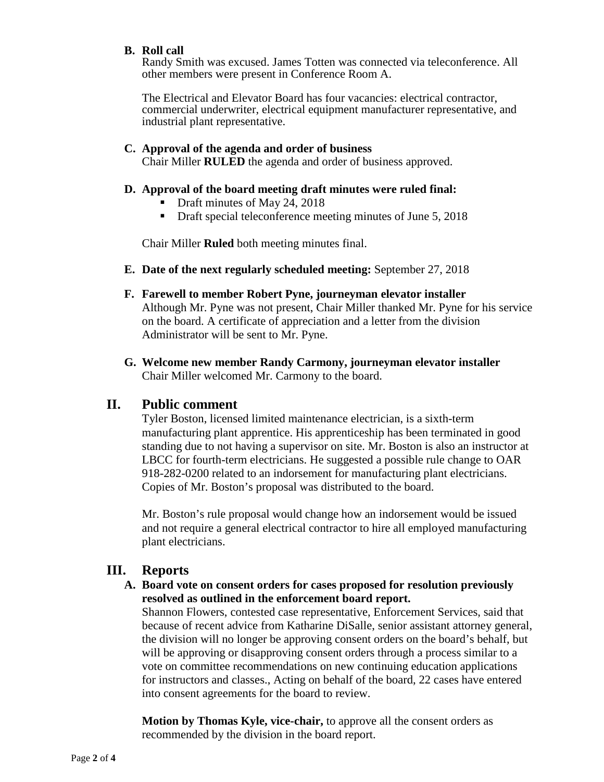### **B. Roll call**

Randy Smith was excused. James Totten was connected via teleconference. All other members were present in Conference Room A.

The Electrical and Elevator Board has four vacancies: electrical contractor, commercial underwriter, electrical equipment manufacturer representative, and industrial plant representative.

### **C. Approval of the agenda and order of business**

Chair Miller **RULED** the agenda and order of business approved.

### **D. Approval of the board meeting draft minutes were ruled final:**

- Draft minutes of May 24, 2018
- Draft special teleconference meeting minutes of June 5, 2018

Chair Miller **Ruled** both meeting minutes final.

- **E. Date of the next regularly scheduled meeting:** September 27, 2018
- **F. Farewell to member Robert Pyne, journeyman elevator installer**

Although Mr. Pyne was not present, Chair Miller thanked Mr. Pyne for his service on the board. A certificate of appreciation and a letter from the division Administrator will be sent to Mr. Pyne.

**G. Welcome new member Randy Carmony, journeyman elevator installer** Chair Miller welcomed Mr. Carmony to the board.

### **II. Public comment**

Tyler Boston, licensed limited maintenance electrician, is a sixth-term manufacturing plant apprentice. His apprenticeship has been terminated in good standing due to not having a supervisor on site. Mr. Boston is also an instructor at LBCC for fourth-term electricians. He suggested a possible rule change to OAR 918-282-0200 related to an indorsement for manufacturing plant electricians. Copies of Mr. Boston's proposal was distributed to the board.

Mr. Boston's rule proposal would change how an indorsement would be issued and not require a general electrical contractor to hire all employed manufacturing plant electricians.

### **III. Reports**

### **A. Board vote on consent orders for cases proposed for resolution previously resolved as outlined in the enforcement board report.**

Shannon Flowers, contested case representative, Enforcement Services, said that because of recent advice from Katharine DiSalle, senior assistant attorney general, the division will no longer be approving consent orders on the board's behalf, but will be approving or disapproving consent orders through a process similar to a vote on committee recommendations on new continuing education applications for instructors and classes., Acting on behalf of the board, 22 cases have entered into consent agreements for the board to review.

**Motion by Thomas Kyle, vice-chair,** to approve all the consent orders as recommended by the division in the board report.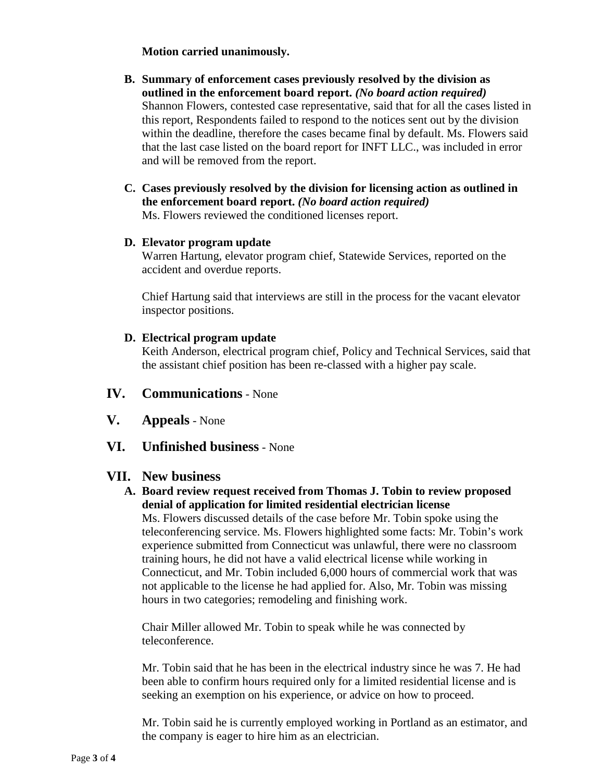### **Motion carried unanimously.**

- **B. Summary of enforcement cases previously resolved by the division as outlined in the enforcement board report.** *(No board action required)* Shannon Flowers, contested case representative, said that for all the cases listed in this report, Respondents failed to respond to the notices sent out by the division within the deadline, therefore the cases became final by default. Ms. Flowers said that the last case listed on the board report for INFT LLC., was included in error and will be removed from the report.
- **C. Cases previously resolved by the division for licensing action as outlined in the enforcement board report.** *(No board action required)* Ms. Flowers reviewed the conditioned licenses report.

# **D. Elevator program update**

Warren Hartung, elevator program chief, Statewide Services, reported on the accident and overdue reports.

Chief Hartung said that interviews are still in the process for the vacant elevator inspector positions.

### **D. Electrical program update**

Keith Anderson, electrical program chief, Policy and Technical Services, said that the assistant chief position has been re-classed with a higher pay scale.

### **IV. Communications** - None

- **V. Appeals** None
- **VI. Unfinished business** None

### **VII. New business**

**A. Board review request received from Thomas J. Tobin to review proposed denial of application for limited residential electrician license** Ms. Flowers discussed details of the case before Mr. Tobin spoke using the teleconferencing service. Ms. Flowers highlighted some facts: Mr. Tobin's work experience submitted from Connecticut was unlawful, there were no classroom training hours, he did not have a valid electrical license while working in Connecticut, and Mr. Tobin included 6,000 hours of commercial work that was not applicable to the license he had applied for. Also, Mr. Tobin was missing hours in two categories; remodeling and finishing work.

Chair Miller allowed Mr. Tobin to speak while he was connected by teleconference.

Mr. Tobin said that he has been in the electrical industry since he was 7. He had been able to confirm hours required only for a limited residential license and is seeking an exemption on his experience, or advice on how to proceed.

Mr. Tobin said he is currently employed working in Portland as an estimator, and the company is eager to hire him as an electrician.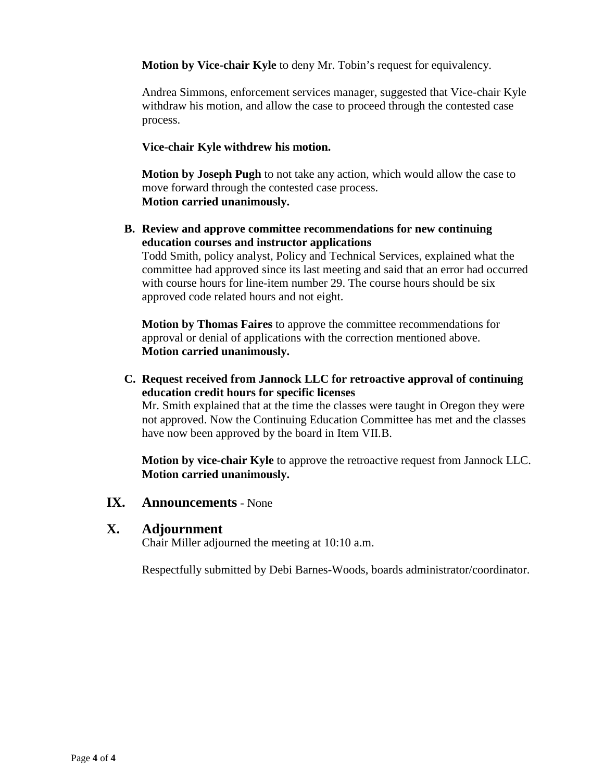**Motion by Vice-chair Kyle** to deny Mr. Tobin's request for equivalency.

Andrea Simmons, enforcement services manager, suggested that Vice-chair Kyle withdraw his motion, and allow the case to proceed through the contested case process.

### **Vice-chair Kyle withdrew his motion.**

**Motion by Joseph Pugh** to not take any action, which would allow the case to move forward through the contested case process. **Motion carried unanimously.** 

**B. Review and approve committee recommendations for new continuing education courses and instructor applications**

Todd Smith, policy analyst, Policy and Technical Services, explained what the committee had approved since its last meeting and said that an error had occurred with course hours for line-item number 29. The course hours should be six approved code related hours and not eight.

**Motion by Thomas Faires** to approve the committee recommendations for approval or denial of applications with the correction mentioned above. **Motion carried unanimously.** 

**C. Request received from Jannock LLC for retroactive approval of continuing education credit hours for specific licenses**

Mr. Smith explained that at the time the classes were taught in Oregon they were not approved. Now the Continuing Education Committee has met and the classes have now been approved by the board in Item VII.B.

**Motion by vice-chair Kyle** to approve the retroactive request from Jannock LLC. **Motion carried unanimously.**

### **IX. Announcements** - None

### **X. Adjournment**

Chair Miller adjourned the meeting at 10:10 a.m.

Respectfully submitted by Debi Barnes-Woods, boards administrator/coordinator.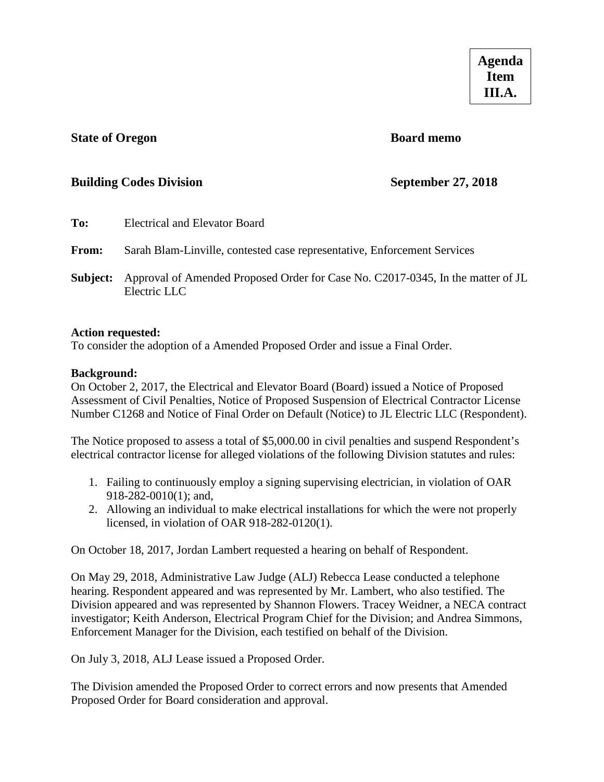### <span id="page-6-0"></span>**State of Oregon Board memo**

### **Building Codes Division September 27, 2018**

| To:      | Electrical and Elevator Board                                                                   |
|----------|-------------------------------------------------------------------------------------------------|
| From:    | Sarah Blam-Linville, contested case representative, Enforcement Services                        |
| Subject: | Approval of Amended Proposed Order for Case No. C2017-0345, In the matter of JL<br>Electric LLC |

### **Action requested:**

To consider the adoption of a Amended Proposed Order and issue a Final Order.

### **Background:**

On October 2, 2017, the Electrical and Elevator Board (Board) issued a Notice of Proposed Assessment of Civil Penalties, Notice of Proposed Suspension of Electrical Contractor License Number C1268 and Notice of Final Order on Default (Notice) to JL Electric LLC (Respondent).

The Notice proposed to assess a total of \$5,000.00 in civil penalties and suspend Respondent's electrical contractor license for alleged violations of the following Division statutes and rules:

- 1. Failing to continuously employ a signing supervising electrician, in violation of OAR 918-282-0010(1); and,
- 2. Allowing an individual to make electrical installations for which the were not properly licensed, in violation of OAR 918-282-0120(1).

On October 18, 2017, Jordan Lambert requested a hearing on behalf of Respondent.

On May 29, 2018, Administrative Law Judge (ALJ) Rebecca Lease conducted a telephone hearing. Respondent appeared and was represented by Mr. Lambert, who also testified. The Division appeared and was represented by Shannon Flowers. Tracey Weidner, a NECA contract investigator; Keith Anderson, Electrical Program Chief for the Division; and Andrea Simmons, Enforcement Manager for the Division, each testified on behalf of the Division.

On July 3, 2018, ALJ Lease issued a Proposed Order.

The Division amended the Proposed Order to correct errors and now presents that Amended Proposed Order for Board consideration and approval.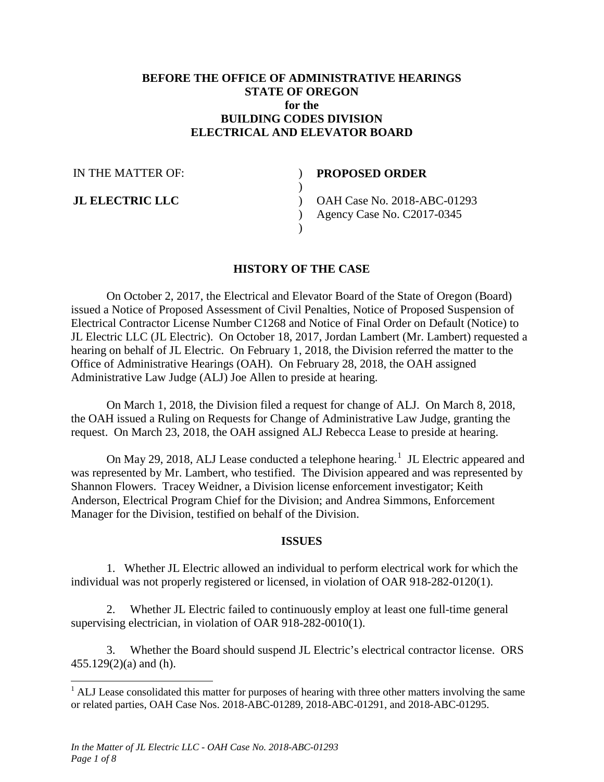### **BEFORE THE OFFICE OF ADMINISTRATIVE HEARINGS STATE OF OREGON for the BUILDING CODES DIVISION ELECTRICAL AND ELEVATOR BOARD**

 $\mathcal{L}$  $\lambda$ 

IN THE MATTER OF:

**JL ELECTRIC LLC**

### **PROPOSED ORDER**

) OAH Case No. 2018-ABC-01293  $\mathcal{L}$ Agency Case No. C2017-0345

### **HISTORY OF THE CASE**

)

On October 2, 2017, the Electrical and Elevator Board of the State of Oregon (Board) issued a Notice of Proposed Assessment of Civil Penalties, Notice of Proposed Suspension of Electrical Contractor License Number C1268 and Notice of Final Order on Default (Notice) to JL Electric LLC (JL Electric). On October 18, 2017, Jordan Lambert (Mr. Lambert) requested a hearing on behalf of JL Electric. On February 1, 2018, the Division referred the matter to the Office of Administrative Hearings (OAH). On February 28, 2018, the OAH assigned Administrative Law Judge (ALJ) Joe Allen to preside at hearing.

On March 1, 2018, the Division filed a request for change of ALJ. On March 8, 2018, the OAH issued a Ruling on Requests for Change of Administrative Law Judge, granting the request. On March 23, 2018, the OAH assigned ALJ Rebecca Lease to preside at hearing.

On May 29, 20[1](#page-7-0)8, ALJ Lease conducted a telephone hearing.<sup>1</sup> JL Electric appeared and was represented by Mr. Lambert, who testified. The Division appeared and was represented by Shannon Flowers. Tracey Weidner, a Division license enforcement investigator; Keith Anderson, Electrical Program Chief for the Division; and Andrea Simmons, Enforcement Manager for the Division, testified on behalf of the Division.

### **ISSUES**

1. Whether JL Electric allowed an individual to perform electrical work for which the individual was not properly registered or licensed, in violation of OAR 918-282-0120(1).

2. Whether JL Electric failed to continuously employ at least one full-time general supervising electrician, in violation of OAR 918-282-0010(1).

3. Whether the Board should suspend JL Electric's electrical contractor license. ORS 455.129(2)(a) and (h).

<span id="page-7-0"></span> $<sup>1</sup>$  ALJ Lease consolidated this matter for purposes of hearing with three other matters involving the same</sup> or related parties, OAH Case Nos. 2018-ABC-01289, 2018-ABC-01291, and 2018-ABC-01295.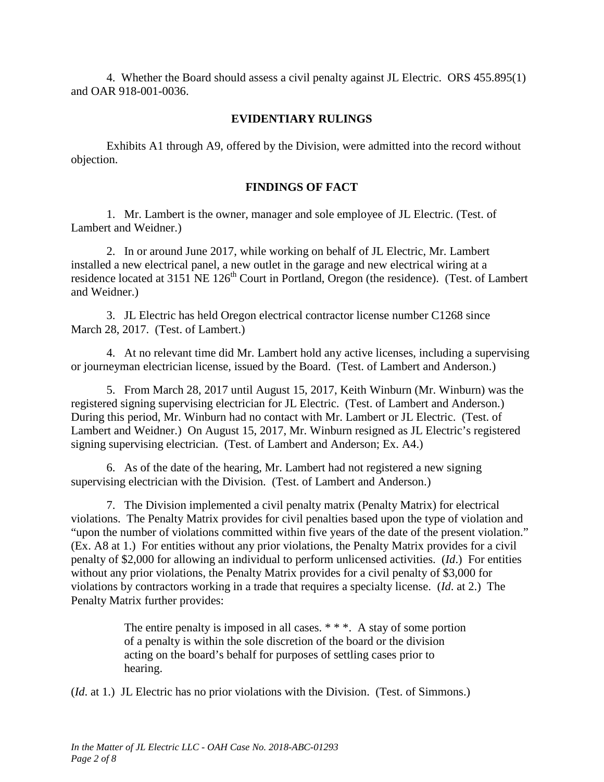4. Whether the Board should assess a civil penalty against JL Electric. ORS 455.895(1) and OAR 918-001-0036.

### **EVIDENTIARY RULINGS**

Exhibits A1 through A9, offered by the Division, were admitted into the record without objection.

### **FINDINGS OF FACT**

1. Mr. Lambert is the owner, manager and sole employee of JL Electric. (Test. of Lambert and Weidner.)

2. In or around June 2017, while working on behalf of JL Electric, Mr. Lambert installed a new electrical panel, a new outlet in the garage and new electrical wiring at a residence located at 3151 NE 126<sup>th</sup> Court in Portland, Oregon (the residence). (Test. of Lambert and Weidner.)

3. JL Electric has held Oregon electrical contractor license number C1268 since March 28, 2017. (Test. of Lambert.)

4. At no relevant time did Mr. Lambert hold any active licenses, including a supervising or journeyman electrician license, issued by the Board. (Test. of Lambert and Anderson.)

5. From March 28, 2017 until August 15, 2017, Keith Winburn (Mr. Winburn) was the registered signing supervising electrician for JL Electric. (Test. of Lambert and Anderson.) During this period, Mr. Winburn had no contact with Mr. Lambert or JL Electric. (Test. of Lambert and Weidner.) On August 15, 2017, Mr. Winburn resigned as JL Electric's registered signing supervising electrician. (Test. of Lambert and Anderson; Ex. A4.)

6. As of the date of the hearing, Mr. Lambert had not registered a new signing supervising electrician with the Division. (Test. of Lambert and Anderson.)

7. The Division implemented a civil penalty matrix (Penalty Matrix) for electrical violations. The Penalty Matrix provides for civil penalties based upon the type of violation and "upon the number of violations committed within five years of the date of the present violation." (Ex. A8 at 1.) For entities without any prior violations, the Penalty Matrix provides for a civil penalty of \$2,000 for allowing an individual to perform unlicensed activities. (*Id*.) For entities without any prior violations, the Penalty Matrix provides for a civil penalty of \$3,000 for violations by contractors working in a trade that requires a specialty license. (*Id*. at 2.) The Penalty Matrix further provides:

> The entire penalty is imposed in all cases. \* \* \*. A stay of some portion of a penalty is within the sole discretion of the board or the division acting on the board's behalf for purposes of settling cases prior to hearing.

(*Id*. at 1.) JL Electric has no prior violations with the Division. (Test. of Simmons.)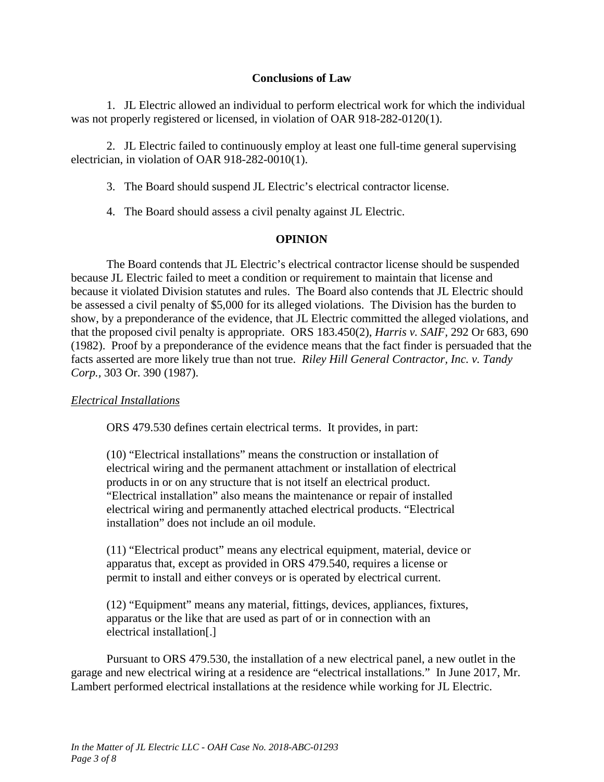### **Conclusions of Law**

1. JL Electric allowed an individual to perform electrical work for which the individual was not properly registered or licensed, in violation of OAR 918-282-0120(1).

2. JL Electric failed to continuously employ at least one full-time general supervising electrician, in violation of OAR 918-282-0010(1).

3. The Board should suspend JL Electric's electrical contractor license.

4. The Board should assess a civil penalty against JL Electric.

### **OPINION**

The Board contends that JL Electric's electrical contractor license should be suspended because JL Electric failed to meet a condition or requirement to maintain that license and because it violated Division statutes and rules. The Board also contends that JL Electric should be assessed a civil penalty of \$5,000 for its alleged violations. The Division has the burden to show, by a preponderance of the evidence, that JL Electric committed the alleged violations, and that the proposed civil penalty is appropriate. ORS 183.450(2), *Harris v. SAIF,* 292 Or 683, 690 (1982). Proof by a preponderance of the evidence means that the fact finder is persuaded that the facts asserted are more likely true than not true. *Riley Hill General Contractor, Inc. v. Tandy Corp.,* 303 Or. 390 (1987).

### *Electrical Installations*

ORS 479.530 defines certain electrical terms. It provides, in part:

(10) "Electrical installations" means the construction or installation of electrical wiring and the permanent attachment or installation of electrical products in or on any structure that is not itself an electrical product. "Electrical installation" also means the maintenance or repair of installed electrical wiring and permanently attached electrical products. "Electrical installation" does not include an oil module.

(11) "Electrical product" means any electrical equipment, material, device or apparatus that, except as provided in ORS 479.540, requires a license or permit to install and either conveys or is operated by electrical current.

(12) "Equipment" means any material, fittings, devices, appliances, fixtures, apparatus or the like that are used as part of or in connection with an electrical installation[.]

Pursuant to ORS 479.530, the installation of a new electrical panel, a new outlet in the garage and new electrical wiring at a residence are "electrical installations." In June 2017, Mr. Lambert performed electrical installations at the residence while working for JL Electric.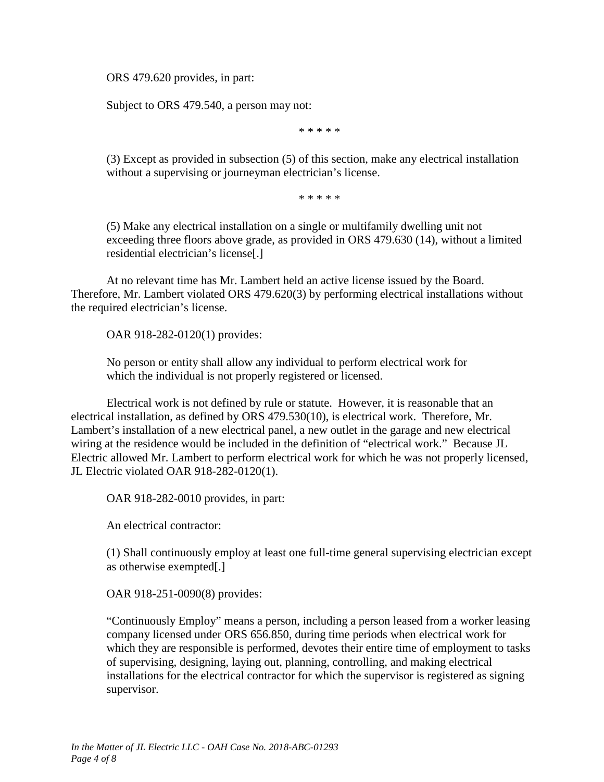ORS 479.620 provides, in part:

Subject to ORS 479.540, a person may not:

\* \* \* \* \*

(3) Except as provided in subsection (5) of this section, make any electrical installation without a supervising or journeyman electrician's license.

\* \* \* \* \*

(5) Make any electrical installation on a single or multifamily dwelling unit not exceeding three floors above grade, as provided in ORS 479.630 (14), without a limited residential electrician's license[.]

At no relevant time has Mr. Lambert held an active license issued by the Board. Therefore, Mr. Lambert violated ORS 479.620(3) by performing electrical installations without the required electrician's license.

OAR 918-282-0120(1) provides:

No person or entity shall allow any individual to perform electrical work for which the individual is not properly registered or licensed.

Electrical work is not defined by rule or statute. However, it is reasonable that an electrical installation, as defined by ORS 479.530(10), is electrical work. Therefore, Mr. Lambert's installation of a new electrical panel, a new outlet in the garage and new electrical wiring at the residence would be included in the definition of "electrical work." Because JL Electric allowed Mr. Lambert to perform electrical work for which he was not properly licensed, JL Electric violated OAR 918-282-0120(1).

OAR 918-282-0010 provides, in part:

An electrical contractor:

(1) Shall continuously employ at least one full-time general supervising electrician except as otherwise exempted[.]

OAR 918-251-0090(8) provides:

"Continuously Employ" means a person, including a person leased from a worker leasing company licensed under ORS 656.850, during time periods when electrical work for which they are responsible is performed, devotes their entire time of employment to tasks of supervising, designing, laying out, planning, controlling, and making electrical installations for the electrical contractor for which the supervisor is registered as signing supervisor.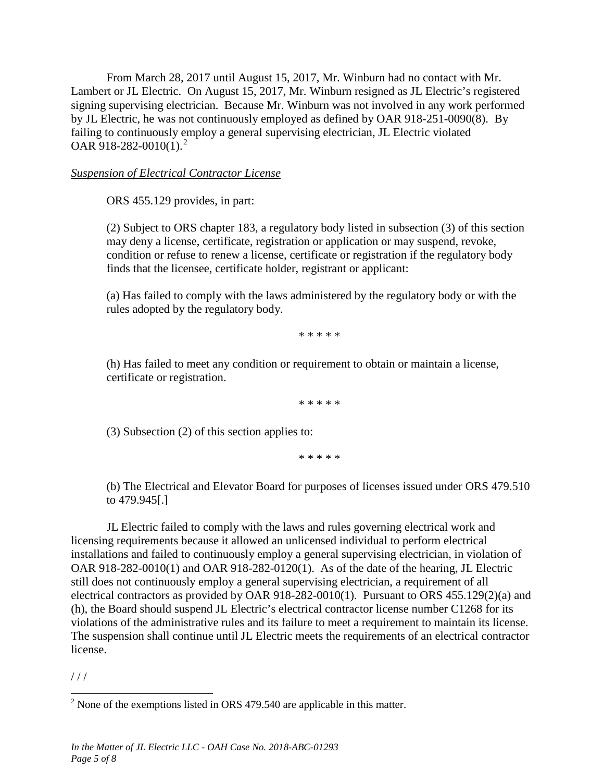From March 28, 2017 until August 15, 2017, Mr. Winburn had no contact with Mr. Lambert or JL Electric. On August 15, 2017, Mr. Winburn resigned as JL Electric's registered signing supervising electrician. Because Mr. Winburn was not involved in any work performed by JL Electric, he was not continuously employed as defined by OAR 918-251-0090(8). By failing to continuously employ a general supervising electrician, JL Electric violated OAR 918-[2](#page-11-0)82-0010(1).<sup>2</sup>

### *Suspension of Electrical Contractor License*

ORS 455.129 provides, in part:

(2) Subject to ORS chapter 183, a regulatory body listed in subsection (3) of this section may deny a license, certificate, registration or application or may suspend, revoke, condition or refuse to renew a license, certificate or registration if the regulatory body finds that the licensee, certificate holder, registrant or applicant:

(a) Has failed to comply with the laws administered by the regulatory body or with the rules adopted by the regulatory body.

\* \* \* \* \*

(h) Has failed to meet any condition or requirement to obtain or maintain a license, certificate or registration.

\* \* \* \* \*

(3) Subsection (2) of this section applies to:

\* \* \* \* \*

(b) The Electrical and Elevator Board for purposes of licenses issued under ORS 479.510 to 479.945[.]

JL Electric failed to comply with the laws and rules governing electrical work and licensing requirements because it allowed an unlicensed individual to perform electrical installations and failed to continuously employ a general supervising electrician, in violation of OAR 918-282-0010(1) and OAR 918-282-0120(1). As of the date of the hearing, JL Electric still does not continuously employ a general supervising electrician, a requirement of all electrical contractors as provided by OAR 918-282-0010(1). Pursuant to ORS 455.129(2)(a) and  $(h)$ , the Board should suspend JL Electric's electrical contractor license number C1268 for its violations of the administrative rules and its failure to meet a requirement to maintain its license. The suspension shall continue until JL Electric meets the requirements of an electrical contractor license.

 $1/1$ 

<span id="page-11-0"></span> $2$  None of the exemptions listed in ORS 479.540 are applicable in this matter.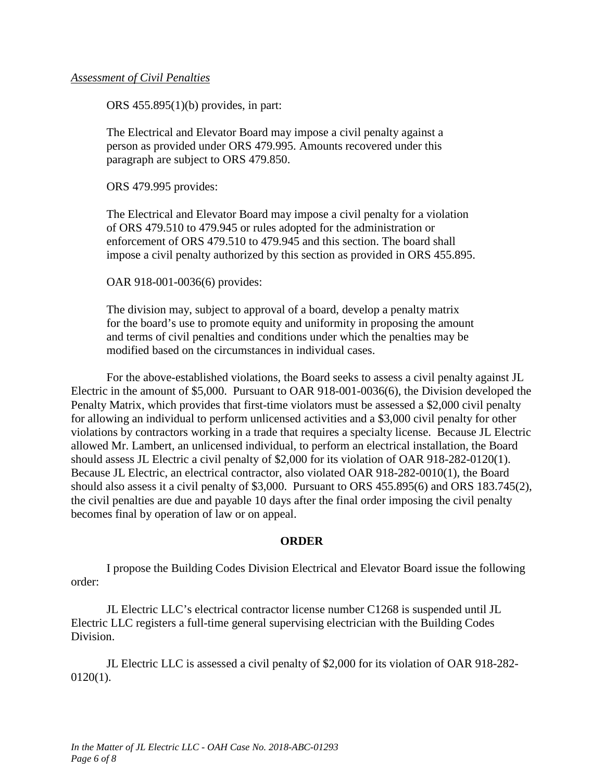### *Assessment of Civil Penalties*

ORS 455.895(1)(b) provides, in part:

The Electrical and Elevator Board may impose a civil penalty against a person as provided under ORS 479.995. Amounts recovered under this paragraph are subject to ORS 479.850.

ORS 479.995 provides:

The Electrical and Elevator Board may impose a civil penalty for a violation of ORS 479.510 to 479.945 or rules adopted for the administration or enforcement of ORS 479.510 to 479.945 and this section. The board shall impose a civil penalty authorized by this section as provided in ORS 455.895.

OAR 918-001-0036(6) provides:

The division may, subject to approval of a board, develop a penalty matrix for the board's use to promote equity and uniformity in proposing the amount and terms of civil penalties and conditions under which the penalties may be modified based on the circumstances in individual cases.

For the above-established violations, the Board seeks to assess a civil penalty against JL Electric in the amount of \$5,000. Pursuant to OAR 918-001-0036(6), the Division developed the Penalty Matrix, which provides that first-time violators must be assessed a \$2,000 civil penalty for allowing an individual to perform unlicensed activities and a \$3,000 civil penalty for other violations by contractors working in a trade that requires a specialty license. Because JL Electric allowed Mr. Lambert, an unlicensed individual, to perform an electrical installation, the Board should assess JL Electric a civil penalty of \$2,000 for its violation of OAR 918-282-0120(1). Because JL Electric, an electrical contractor, also violated OAR 918-282-0010(1), the Board should also assess it a civil penalty of \$3,000. Pursuant to ORS 455.895(6) and ORS 183.745(2), the civil penalties are due and payable 10 days after the final order imposing the civil penalty becomes final by operation of law or on appeal.

### **ORDER**

I propose the Building Codes Division Electrical and Elevator Board issue the following order:

JL Electric LLC's electrical contractor license number C1268 is suspended until JL Electric LLC registers a full-time general supervising electrician with the Building Codes Division.

JL Electric LLC is assessed a civil penalty of \$2,000 for its violation of OAR 918-282- 0120(1).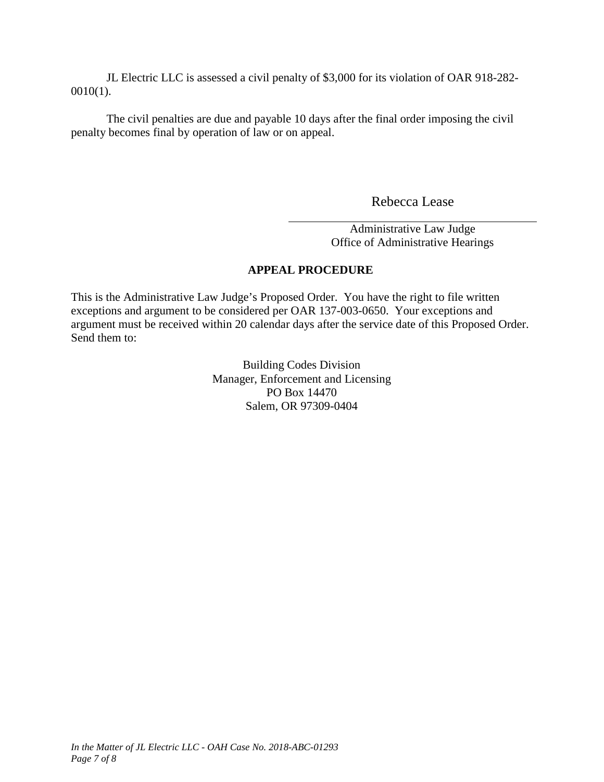JL Electric LLC is assessed a civil penalty of \$3,000 for its violation of OAR 918-282- 0010(1).

The civil penalties are due and payable 10 days after the final order imposing the civil penalty becomes final by operation of law or on appeal.

Rebecca Lease

Administrative Law Judge Office of Administrative Hearings

### **APPEAL PROCEDURE**

This is the Administrative Law Judge's Proposed Order. You have the right to file written exceptions and argument to be considered per OAR 137-003-0650. Your exceptions and argument must be received within 20 calendar days after the service date of this Proposed Order. Send them to:

> Building Codes Division Manager, Enforcement and Licensing PO Box 14470 Salem, OR 97309-0404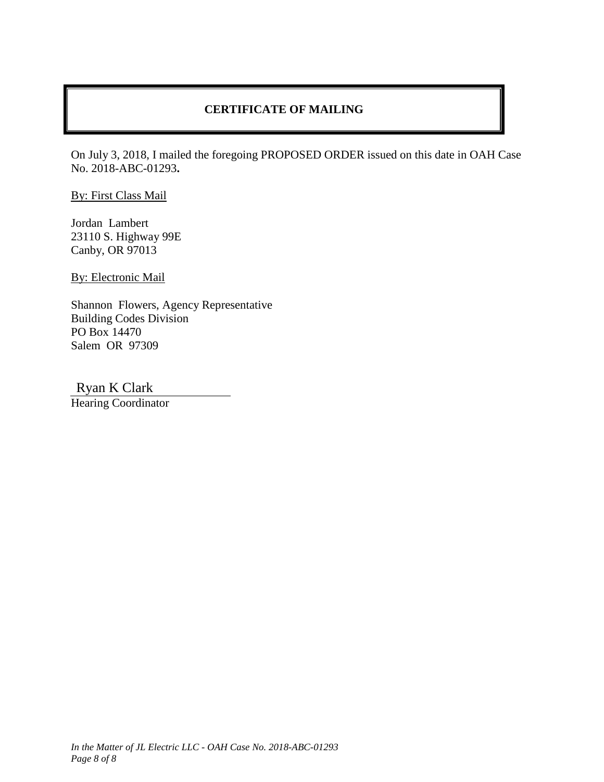### **CERTIFICATE OF MAILING**

On July 3, 2018, I mailed the foregoing PROPOSED ORDER issued on this date in OAH Case No. 2018-ABC-01293**.**

By: First Class Mail

Jordan Lambert 23110 S. Highway 99E Canby, OR 97013

By: Electronic Mail

Shannon Flowers, Agency Representative Building Codes Division PO Box 14470 Salem OR 97309

Ryan K Clark

Hearing Coordinator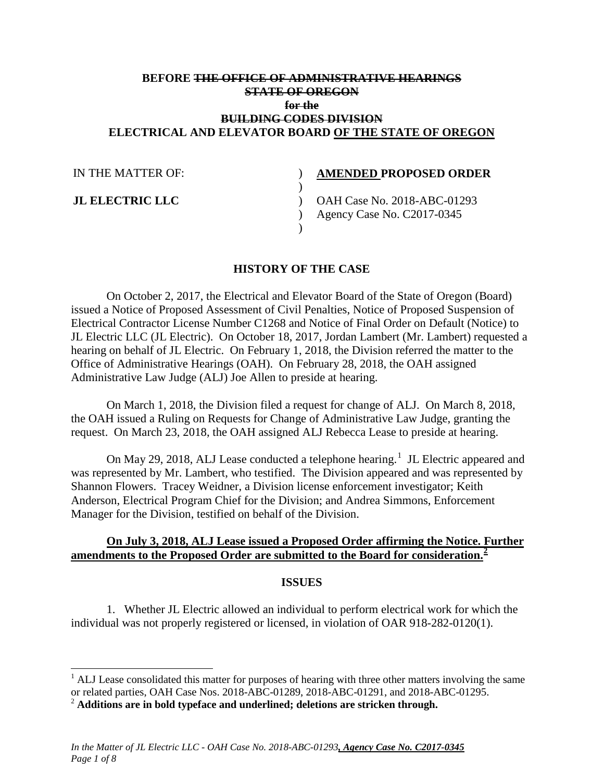### **BEFORE THE OFFICE OF ADMINISTRATIVE HEARINGS STATE OF OREGON for the BUILDING CODES DIVISION ELECTRICAL AND ELEVATOR BOARD OF THE STATE OF OREGON**

 $\lambda$  $\lambda$ 

| IN THE MATTER OF: |  |
|-------------------|--|
|-------------------|--|

**JL ELECTRIC LLC**

### **AMENDED PROPOSED ORDER**

) OAH Case No. 2018-ABC-01293 ) Agency Case No. C2017-0345

### **HISTORY OF THE CASE**

)

On October 2, 2017, the Electrical and Elevator Board of the State of Oregon (Board) issued a Notice of Proposed Assessment of Civil Penalties, Notice of Proposed Suspension of Electrical Contractor License Number C1268 and Notice of Final Order on Default (Notice) to JL Electric LLC (JL Electric). On October 18, 2017, Jordan Lambert (Mr. Lambert) requested a hearing on behalf of JL Electric. On February 1, 2018, the Division referred the matter to the Office of Administrative Hearings (OAH). On February 28, 2018, the OAH assigned Administrative Law Judge (ALJ) Joe Allen to preside at hearing.

On March 1, 2018, the Division filed a request for change of ALJ. On March 8, 2018, the OAH issued a Ruling on Requests for Change of Administrative Law Judge, granting the request. On March 23, 2018, the OAH assigned ALJ Rebecca Lease to preside at hearing.

On May 29, 20[1](#page-15-0)8, ALJ Lease conducted a telephone hearing.<sup>1</sup> JL Electric appeared and was represented by Mr. Lambert, who testified. The Division appeared and was represented by Shannon Flowers. Tracey Weidner, a Division license enforcement investigator; Keith Anderson, Electrical Program Chief for the Division; and Andrea Simmons, Enforcement Manager for the Division, testified on behalf of the Division.

### **On July 3, 2018, ALJ Lease issued a Proposed Order affirming the Notice. Further amendments to the Proposed Order are submitted to the Board for consideration.[2](#page-15-1)**

### **ISSUES**

1. Whether JL Electric allowed an individual to perform electrical work for which the individual was not properly registered or licensed, in violation of OAR 918-282-0120(1).

<span id="page-15-0"></span><sup>&</sup>lt;sup>1</sup> ALJ Lease consolidated this matter for purposes of hearing with three other matters involving the same or related parties, OAH Case Nos. 2018-ABC-01289, 2018-ABC-01291, and 2018-ABC-01295. <sup>2</sup> **Additions are in bold typeface and underlined; deletions are stricken through.**

<span id="page-15-1"></span>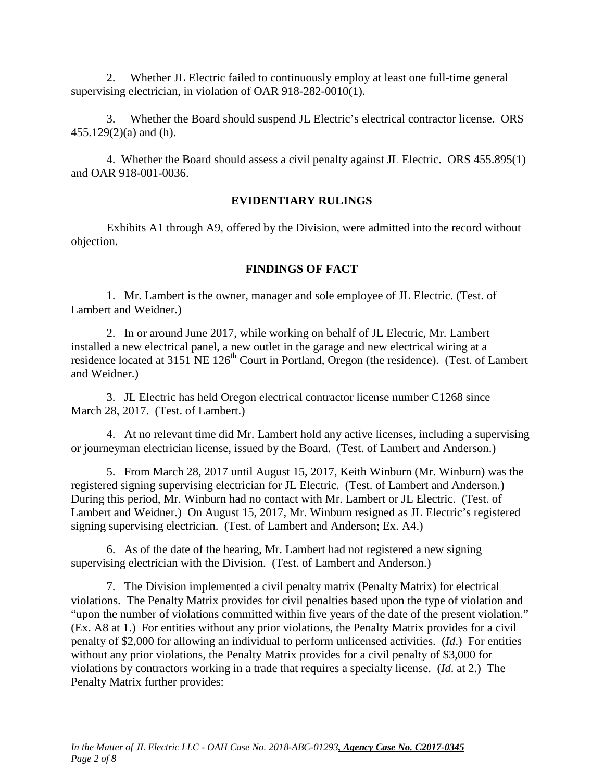2. Whether JL Electric failed to continuously employ at least one full-time general supervising electrician, in violation of OAR 918-282-0010(1).

3. Whether the Board should suspend JL Electric's electrical contractor license. ORS 455.129(2)(a) and (h).

4. Whether the Board should assess a civil penalty against JL Electric. ORS 455.895(1) and OAR 918-001-0036.

### **EVIDENTIARY RULINGS**

Exhibits A1 through A9, offered by the Division, were admitted into the record without objection.

### **FINDINGS OF FACT**

1. Mr. Lambert is the owner, manager and sole employee of JL Electric. (Test. of Lambert and Weidner.)

2. In or around June 2017, while working on behalf of JL Electric, Mr. Lambert installed a new electrical panel, a new outlet in the garage and new electrical wiring at a residence located at 3151 NE 126<sup>th</sup> Court in Portland, Oregon (the residence). (Test. of Lambert and Weidner.)

3. JL Electric has held Oregon electrical contractor license number C1268 since March 28, 2017. (Test. of Lambert.)

4. At no relevant time did Mr. Lambert hold any active licenses, including a supervising or journeyman electrician license, issued by the Board. (Test. of Lambert and Anderson.)

5. From March 28, 2017 until August 15, 2017, Keith Winburn (Mr. Winburn) was the registered signing supervising electrician for JL Electric. (Test. of Lambert and Anderson.) During this period, Mr. Winburn had no contact with Mr. Lambert or JL Electric. (Test. of Lambert and Weidner.) On August 15, 2017, Mr. Winburn resigned as JL Electric's registered signing supervising electrician. (Test. of Lambert and Anderson; Ex. A4.)

6. As of the date of the hearing, Mr. Lambert had not registered a new signing supervising electrician with the Division. (Test. of Lambert and Anderson.)

7. The Division implemented a civil penalty matrix (Penalty Matrix) for electrical violations. The Penalty Matrix provides for civil penalties based upon the type of violation and "upon the number of violations committed within five years of the date of the present violation." (Ex. A8 at 1.) For entities without any prior violations, the Penalty Matrix provides for a civil penalty of \$2,000 for allowing an individual to perform unlicensed activities. (*Id*.) For entities without any prior violations, the Penalty Matrix provides for a civil penalty of \$3,000 for violations by contractors working in a trade that requires a specialty license. (*Id*. at 2.) The Penalty Matrix further provides: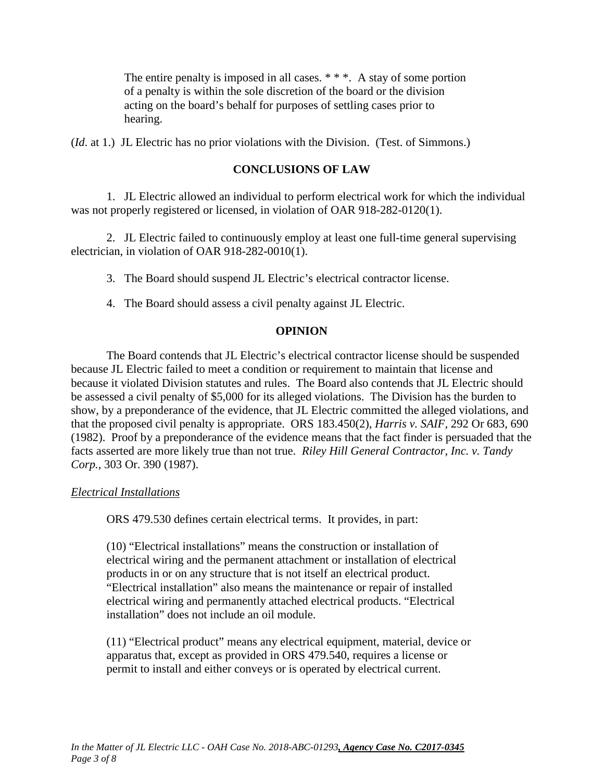The entire penalty is imposed in all cases. \* \* \*. A stay of some portion of a penalty is within the sole discretion of the board or the division acting on the board's behalf for purposes of settling cases prior to hearing.

(*Id*. at 1.) JL Electric has no prior violations with the Division. (Test. of Simmons.)

### **CONCLUSIONS OF LAW**

1. JL Electric allowed an individual to perform electrical work for which the individual was not properly registered or licensed, in violation of OAR 918-282-0120(1).

2. JL Electric failed to continuously employ at least one full-time general supervising electrician, in violation of OAR 918-282-0010(1).

3. The Board should suspend JL Electric's electrical contractor license.

4. The Board should assess a civil penalty against JL Electric.

### **OPINION**

The Board contends that JL Electric's electrical contractor license should be suspended because JL Electric failed to meet a condition or requirement to maintain that license and because it violated Division statutes and rules. The Board also contends that JL Electric should be assessed a civil penalty of \$5,000 for its alleged violations. The Division has the burden to show, by a preponderance of the evidence, that JL Electric committed the alleged violations, and that the proposed civil penalty is appropriate. ORS 183.450(2), *Harris v. SAIF,* 292 Or 683, 690 (1982). Proof by a preponderance of the evidence means that the fact finder is persuaded that the facts asserted are more likely true than not true. *Riley Hill General Contractor, Inc. v. Tandy Corp.,* 303 Or. 390 (1987).

### *Electrical Installations*

ORS 479.530 defines certain electrical terms. It provides, in part:

(10) "Electrical installations" means the construction or installation of electrical wiring and the permanent attachment or installation of electrical products in or on any structure that is not itself an electrical product. "Electrical installation" also means the maintenance or repair of installed electrical wiring and permanently attached electrical products. "Electrical installation" does not include an oil module.

(11) "Electrical product" means any electrical equipment, material, device or apparatus that, except as provided in ORS 479.540, requires a license or permit to install and either conveys or is operated by electrical current.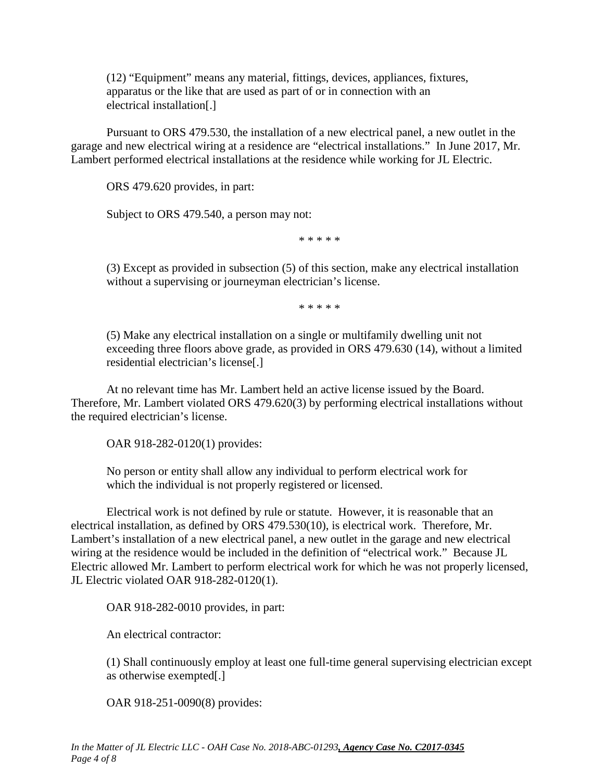(12) "Equipment" means any material, fittings, devices, appliances, fixtures, apparatus or the like that are used as part of or in connection with an electrical installation[.]

Pursuant to ORS 479.530, the installation of a new electrical panel, a new outlet in the garage and new electrical wiring at a residence are "electrical installations." In June 2017, Mr. Lambert performed electrical installations at the residence while working for JL Electric.

ORS 479.620 provides, in part:

Subject to ORS 479.540, a person may not:

\* \* \* \* \*

(3) Except as provided in subsection (5) of this section, make any electrical installation without a supervising or journeyman electrician's license.

\* \* \* \* \*

(5) Make any electrical installation on a single or multifamily dwelling unit not exceeding three floors above grade, as provided in ORS 479.630 (14), without a limited residential electrician's license[.]

At no relevant time has Mr. Lambert held an active license issued by the Board. Therefore, Mr. Lambert violated ORS 479.620(3) by performing electrical installations without the required electrician's license.

OAR 918-282-0120(1) provides:

No person or entity shall allow any individual to perform electrical work for which the individual is not properly registered or licensed.

Electrical work is not defined by rule or statute. However, it is reasonable that an electrical installation, as defined by ORS 479.530(10), is electrical work. Therefore, Mr. Lambert's installation of a new electrical panel, a new outlet in the garage and new electrical wiring at the residence would be included in the definition of "electrical work." Because JL Electric allowed Mr. Lambert to perform electrical work for which he was not properly licensed, JL Electric violated OAR 918-282-0120(1).

OAR 918-282-0010 provides, in part:

An electrical contractor:

(1) Shall continuously employ at least one full-time general supervising electrician except as otherwise exempted[.]

OAR 918-251-0090(8) provides: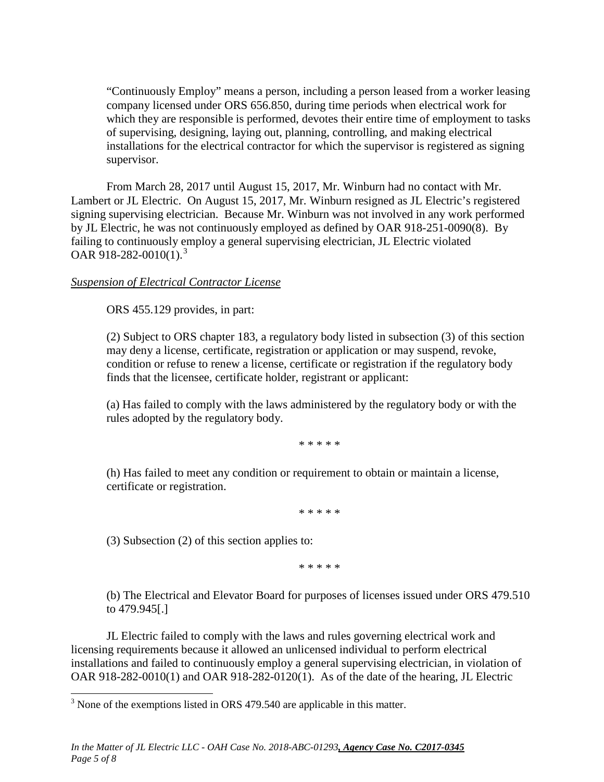"Continuously Employ" means a person, including a person leased from a worker leasing company licensed under ORS 656.850, during time periods when electrical work for which they are responsible is performed, devotes their entire time of employment to tasks of supervising, designing, laying out, planning, controlling, and making electrical installations for the electrical contractor for which the supervisor is registered as signing supervisor.

From March 28, 2017 until August 15, 2017, Mr. Winburn had no contact with Mr. Lambert or JL Electric. On August 15, 2017, Mr. Winburn resigned as JL Electric's registered signing supervising electrician. Because Mr. Winburn was not involved in any work performed by JL Electric, he was not continuously employed as defined by OAR 918-251-0090(8). By failing to continuously employ a general supervising electrician, JL Electric violated OAR 918-282-0010(1).<sup>[3](#page-19-0)</sup>

### *Suspension of Electrical Contractor License*

ORS 455.129 provides, in part:

(2) Subject to ORS chapter 183, a regulatory body listed in subsection (3) of this section may deny a license, certificate, registration or application or may suspend, revoke, condition or refuse to renew a license, certificate or registration if the regulatory body finds that the licensee, certificate holder, registrant or applicant:

(a) Has failed to comply with the laws administered by the regulatory body or with the rules adopted by the regulatory body.

\* \* \* \* \*

(h) Has failed to meet any condition or requirement to obtain or maintain a license, certificate or registration.

\* \* \* \* \*

(3) Subsection (2) of this section applies to:

\* \* \* \* \*

(b) The Electrical and Elevator Board for purposes of licenses issued under ORS 479.510 to 479.945[.]

JL Electric failed to comply with the laws and rules governing electrical work and licensing requirements because it allowed an unlicensed individual to perform electrical installations and failed to continuously employ a general supervising electrician, in violation of OAR 918-282-0010(1) and OAR 918-282-0120(1). As of the date of the hearing, JL Electric

<span id="page-19-0"></span><sup>&</sup>lt;sup>3</sup> None of the exemptions listed in ORS 479.540 are applicable in this matter.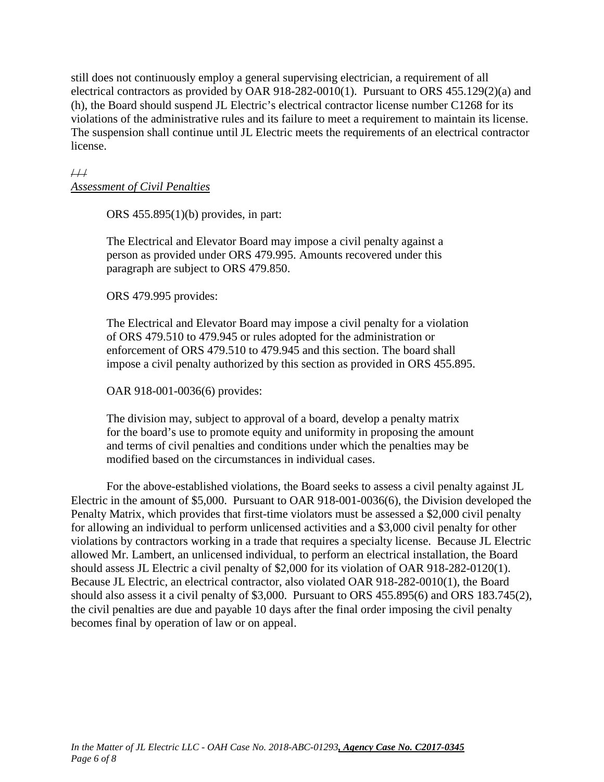still does not continuously employ a general supervising electrician, a requirement of all electrical contractors as provided by OAR 918-282-0010(1). Pursuant to ORS 455.129(2)(a) and (h), the Board should suspend JL Electric's electrical contractor license number C1268 for its violations of the administrative rules and its failure to meet a requirement to maintain its license. The suspension shall continue until JL Electric meets the requirements of an electrical contractor license.

### $4/1$ *Assessment of Civil Penalties*

ORS 455.895(1)(b) provides, in part:

The Electrical and Elevator Board may impose a civil penalty against a person as provided under ORS 479.995. Amounts recovered under this paragraph are subject to ORS 479.850.

ORS 479.995 provides:

The Electrical and Elevator Board may impose a civil penalty for a violation of ORS 479.510 to 479.945 or rules adopted for the administration or enforcement of ORS 479.510 to 479.945 and this section. The board shall impose a civil penalty authorized by this section as provided in ORS 455.895.

OAR 918-001-0036(6) provides:

The division may, subject to approval of a board, develop a penalty matrix for the board's use to promote equity and uniformity in proposing the amount and terms of civil penalties and conditions under which the penalties may be modified based on the circumstances in individual cases.

For the above-established violations, the Board seeks to assess a civil penalty against JL Electric in the amount of \$5,000. Pursuant to OAR 918-001-0036(6), the Division developed the Penalty Matrix, which provides that first-time violators must be assessed a \$2,000 civil penalty for allowing an individual to perform unlicensed activities and a \$3,000 civil penalty for other violations by contractors working in a trade that requires a specialty license. Because JL Electric allowed Mr. Lambert, an unlicensed individual, to perform an electrical installation, the Board should assess JL Electric a civil penalty of \$2,000 for its violation of OAR 918-282-0120(1). Because JL Electric, an electrical contractor, also violated OAR 918-282-0010(1), the Board should also assess it a civil penalty of \$3,000. Pursuant to ORS 455.895(6) and ORS 183.745(2), the civil penalties are due and payable 10 days after the final order imposing the civil penalty becomes final by operation of law or on appeal.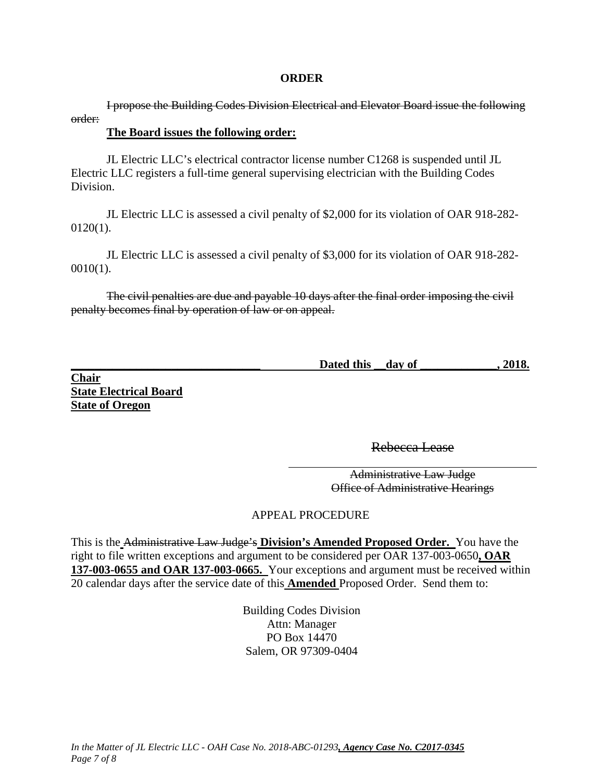### **ORDER**

I propose the Building Codes Division Electrical and Elevator Board issue the following order:

### **The Board issues the following order:**

JL Electric LLC's electrical contractor license number C1268 is suspended until JL Electric LLC registers a full-time general supervising electrician with the Building Codes Division.

JL Electric LLC is assessed a civil penalty of \$2,000 for its violation of OAR 918-282- 0120(1).

JL Electric LLC is assessed a civil penalty of \$3,000 for its violation of OAR 918-282- 0010(1).

The civil penalties are due and payable 10 days after the final order imposing the civil penalty becomes final by operation of law or on appeal.

| Dated this | day of | 2018. |
|------------|--------|-------|
|            |        |       |

**Chair State Electrical Board State of Oregon** 

Rebecca Lease

Administrative Law Judge Office of Administrative Hearings

### APPEAL PROCEDURE

This is the Administrative Law Judge's **Division's Amended Proposed Order.** You have the right to file written exceptions and argument to be considered per OAR 137-003-0650**, OAR 137-003-0655 and OAR 137-003-0665.** Your exceptions and argument must be received within 20 calendar days after the service date of this **Amended** Proposed Order. Send them to:

> Building Codes Division Attn: Manager PO Box 14470 Salem, OR 97309-0404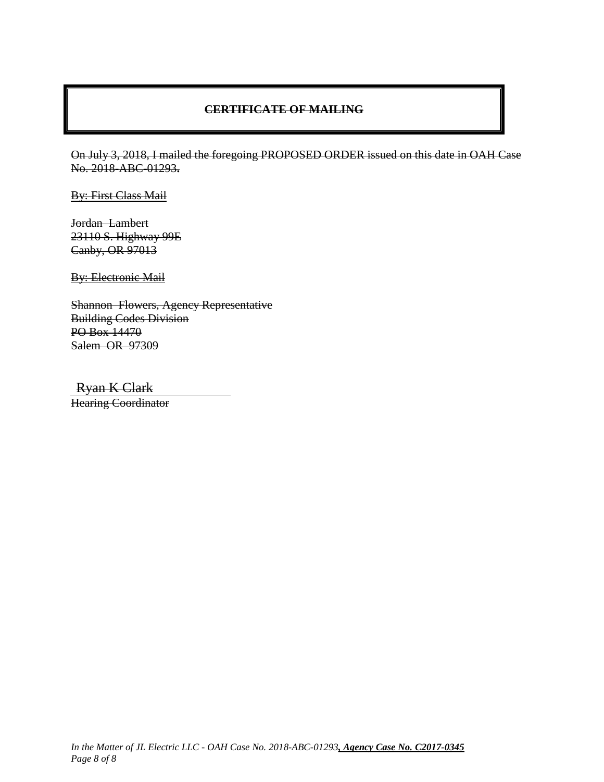### **CERTIFICATE OF MAILING**

On July 3, 2018, I mailed the foregoing PROPOSED ORDER issued on this date in OAH Case No. 2018-ABC-01293**.**

By: First Class Mail

Jordan Lambert 23110 S. Highway 99E Canby, OR 97013

**By: Electronic Mail** 

Shannon Flowers, Agency Representative Building Codes Division PO Box 14470 Salem OR 97309

Ryan K Clark

Hearing Coordinator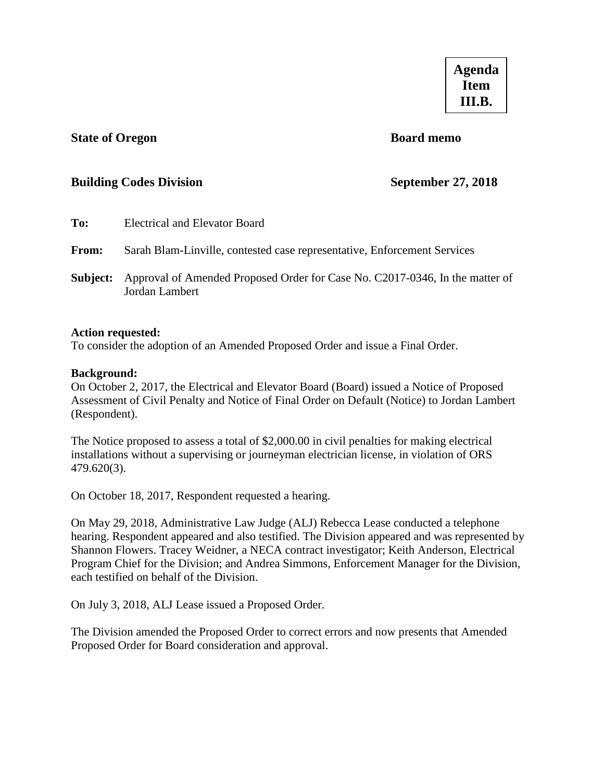### <span id="page-23-0"></span>**State of Oregon Board memo**

### **Building Codes Division September 27, 2018**

| To:          | Electrical and Elevator Board                                                                  |
|--------------|------------------------------------------------------------------------------------------------|
| <b>From:</b> | Sarah Blam-Linville, contested case representative, Enforcement Services                       |
| Subject:     | Approval of Amended Proposed Order for Case No. C2017-0346, In the matter of<br>Jordan Lambert |

### **Action requested:**

To consider the adoption of an Amended Proposed Order and issue a Final Order.

### **Background:**

On October 2, 2017, the Electrical and Elevator Board (Board) issued a Notice of Proposed Assessment of Civil Penalty and Notice of Final Order on Default (Notice) to Jordan Lambert (Respondent).

The Notice proposed to assess a total of \$2,000.00 in civil penalties for making electrical installations without a supervising or journeyman electrician license, in violation of ORS 479.620(3).

On October 18, 2017, Respondent requested a hearing.

On May 29, 2018, Administrative Law Judge (ALJ) Rebecca Lease conducted a telephone hearing. Respondent appeared and also testified. The Division appeared and was represented by Shannon Flowers. Tracey Weidner, a NECA contract investigator; Keith Anderson, Electrical Program Chief for the Division; and Andrea Simmons, Enforcement Manager for the Division, each testified on behalf of the Division.

On July 3, 2018, ALJ Lease issued a Proposed Order.

The Division amended the Proposed Order to correct errors and now presents that Amended Proposed Order for Board consideration and approval.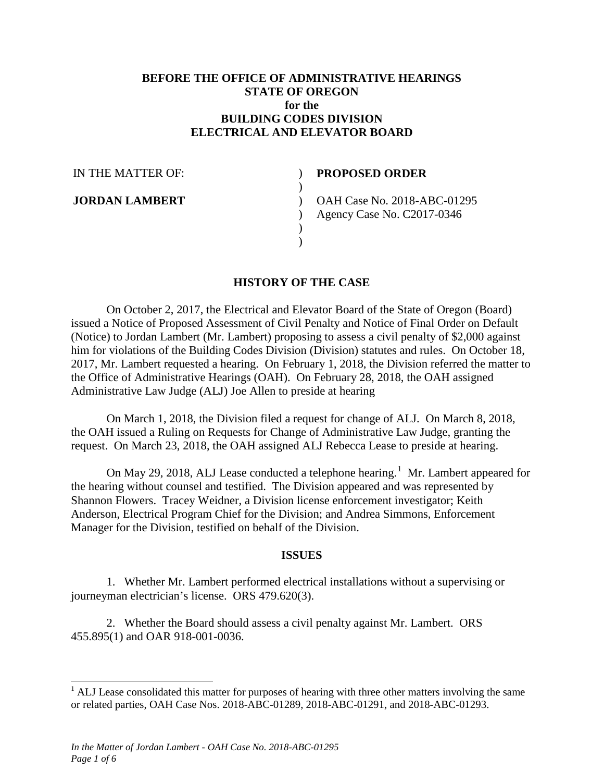### **BEFORE THE OFFICE OF ADMINISTRATIVE HEARINGS STATE OF OREGON for the BUILDING CODES DIVISION ELECTRICAL AND ELEVATOR BOARD**

 $\lambda$  $\lambda$  $\overline{)}$  $\mathcal{L}$ )  $\lambda$ 

IN THE MATTER OF:

**JORDAN LAMBERT**

### **PROPOSED ORDER**

OAH Case No. 2018-ABC-01295 Agency Case No. C2017-0346

### **HISTORY OF THE CASE**

On October 2, 2017, the Electrical and Elevator Board of the State of Oregon (Board) issued a Notice of Proposed Assessment of Civil Penalty and Notice of Final Order on Default (Notice) to Jordan Lambert (Mr. Lambert) proposing to assess a civil penalty of \$2,000 against him for violations of the Building Codes Division (Division) statutes and rules. On October 18, 2017, Mr. Lambert requested a hearing. On February 1, 2018, the Division referred the matter to the Office of Administrative Hearings (OAH). On February 28, 2018, the OAH assigned Administrative Law Judge (ALJ) Joe Allen to preside at hearing

On March 1, 2018, the Division filed a request for change of ALJ. On March 8, 2018, the OAH issued a Ruling on Requests for Change of Administrative Law Judge, granting the request. On March 23, 2018, the OAH assigned ALJ Rebecca Lease to preside at hearing.

On May 29, 20[1](#page-24-0)8, ALJ Lease conducted a telephone hearing.<sup>1</sup> Mr. Lambert appeared for the hearing without counsel and testified. The Division appeared and was represented by Shannon Flowers. Tracey Weidner, a Division license enforcement investigator; Keith Anderson, Electrical Program Chief for the Division; and Andrea Simmons, Enforcement Manager for the Division, testified on behalf of the Division.

### **ISSUES**

1. Whether Mr. Lambert performed electrical installations without a supervising or journeyman electrician's license. ORS 479.620(3).

2. Whether the Board should assess a civil penalty against Mr. Lambert. ORS 455.895(1) and OAR 918-001-0036.

<span id="page-24-0"></span> $<sup>1</sup>$  ALJ Lease consolidated this matter for purposes of hearing with three other matters involving the same</sup> or related parties, OAH Case Nos. 2018-ABC-01289, 2018-ABC-01291, and 2018-ABC-01293.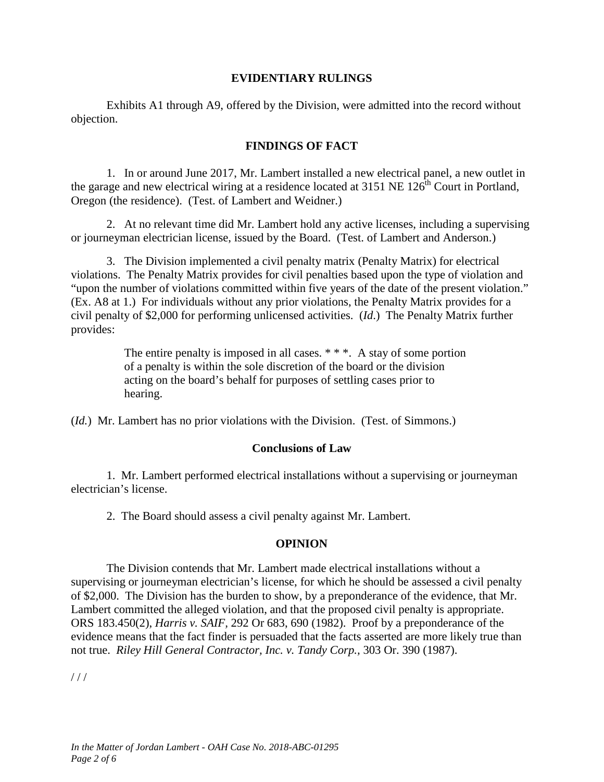### **EVIDENTIARY RULINGS**

Exhibits A1 through A9, offered by the Division, were admitted into the record without objection.

### **FINDINGS OF FACT**

1. In or around June 2017, Mr. Lambert installed a new electrical panel, a new outlet in the garage and new electrical wiring at a residence located at 3151 NE  $126^{th}$  Court in Portland, Oregon (the residence). (Test. of Lambert and Weidner.)

2. At no relevant time did Mr. Lambert hold any active licenses, including a supervising or journeyman electrician license, issued by the Board. (Test. of Lambert and Anderson.)

3. The Division implemented a civil penalty matrix (Penalty Matrix) for electrical violations. The Penalty Matrix provides for civil penalties based upon the type of violation and "upon the number of violations committed within five years of the date of the present violation." (Ex. A8 at 1.) For individuals without any prior violations, the Penalty Matrix provides for a civil penalty of \$2,000 for performing unlicensed activities. (*Id*.) The Penalty Matrix further provides:

> The entire penalty is imposed in all cases. \* \* \*. A stay of some portion of a penalty is within the sole discretion of the board or the division acting on the board's behalf for purposes of settling cases prior to hearing.

(*Id.*) Mr. Lambert has no prior violations with the Division. (Test. of Simmons.)

### **Conclusions of Law**

1. Mr. Lambert performed electrical installations without a supervising or journeyman electrician's license.

2. The Board should assess a civil penalty against Mr. Lambert.

### **OPINION**

The Division contends that Mr. Lambert made electrical installations without a supervising or journeyman electrician's license, for which he should be assessed a civil penalty of \$2,000. The Division has the burden to show, by a preponderance of the evidence, that Mr. Lambert committed the alleged violation, and that the proposed civil penalty is appropriate. ORS 183.450(2), *Harris v. SAIF,* 292 Or 683, 690 (1982). Proof by a preponderance of the evidence means that the fact finder is persuaded that the facts asserted are more likely true than not true. *Riley Hill General Contractor, Inc. v. Tandy Corp.,* 303 Or. 390 (1987).

 $1/1$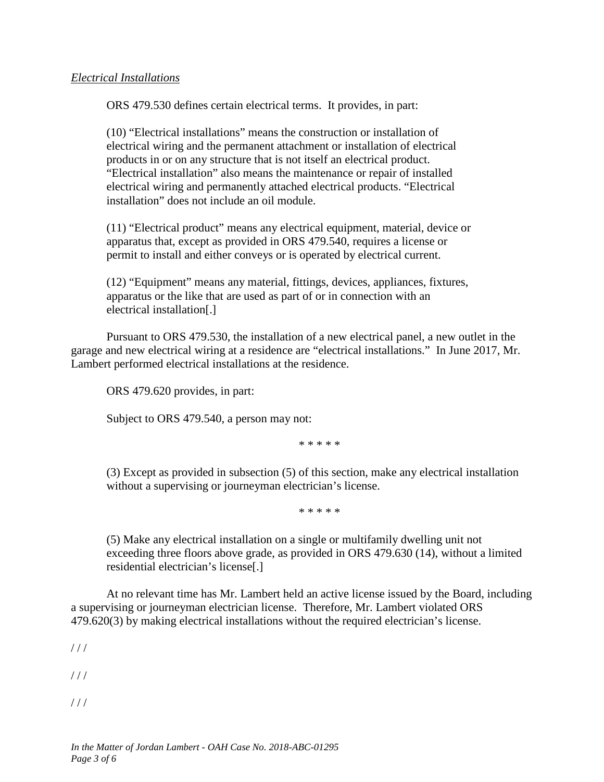### *Electrical Installations*

ORS 479.530 defines certain electrical terms. It provides, in part:

(10) "Electrical installations" means the construction or installation of electrical wiring and the permanent attachment or installation of electrical products in or on any structure that is not itself an electrical product. "Electrical installation" also means the maintenance or repair of installed electrical wiring and permanently attached electrical products. "Electrical installation" does not include an oil module.

(11) "Electrical product" means any electrical equipment, material, device or apparatus that, except as provided in ORS 479.540, requires a license or permit to install and either conveys or is operated by electrical current.

(12) "Equipment" means any material, fittings, devices, appliances, fixtures, apparatus or the like that are used as part of or in connection with an electrical installation[.]

Pursuant to ORS 479.530, the installation of a new electrical panel, a new outlet in the garage and new electrical wiring at a residence are "electrical installations." In June 2017, Mr. Lambert performed electrical installations at the residence.

ORS 479.620 provides, in part:

Subject to ORS 479.540, a person may not:

\* \* \* \* \*

(3) Except as provided in subsection (5) of this section, make any electrical installation without a supervising or journeyman electrician's license.

\* \* \* \* \*

(5) Make any electrical installation on a single or multifamily dwelling unit not exceeding three floors above grade, as provided in ORS 479.630 (14), without a limited residential electrician's license[.]

At no relevant time has Mr. Lambert held an active license issued by the Board, including a supervising or journeyman electrician license. Therefore, Mr. Lambert violated ORS 479.620(3) by making electrical installations without the required electrician's license.

 $1/1$ 

 $1/1$ 

 $1/1$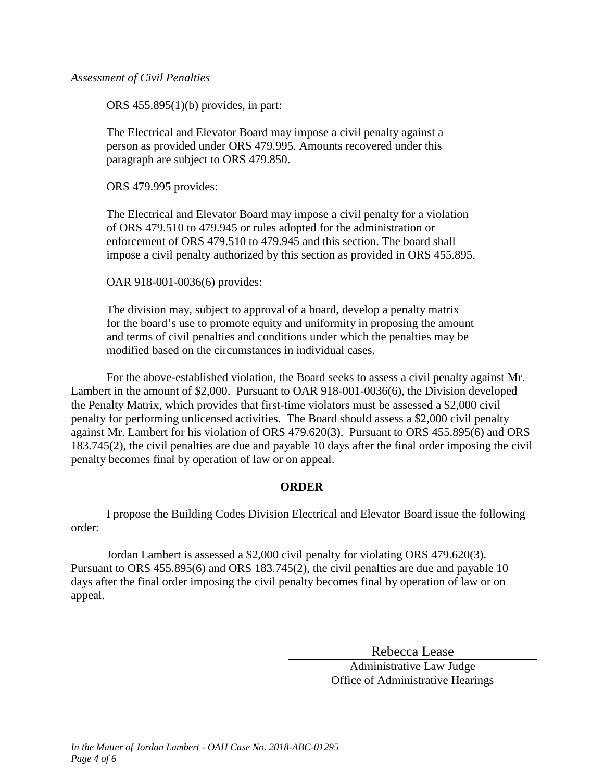### *Assessment of Civil Penalties*

ORS 455.895(1)(b) provides, in part:

The Electrical and Elevator Board may impose a civil penalty against a person as provided under ORS 479.995. Amounts recovered under this paragraph are subject to ORS 479.850.

ORS 479.995 provides:

The Electrical and Elevator Board may impose a civil penalty for a violation of ORS 479.510 to 479.945 or rules adopted for the administration or enforcement of ORS 479.510 to 479.945 and this section. The board shall impose a civil penalty authorized by this section as provided in ORS 455.895.

OAR 918-001-0036(6) provides:

The division may, subject to approval of a board, develop a penalty matrix for the board's use to promote equity and uniformity in proposing the amount and terms of civil penalties and conditions under which the penalties may be modified based on the circumstances in individual cases.

For the above-established violation, the Board seeks to assess a civil penalty against Mr. Lambert in the amount of \$2,000. Pursuant to OAR 918-001-0036(6), the Division developed the Penalty Matrix, which provides that first-time violators must be assessed a \$2,000 civil penalty for performing unlicensed activities. The Board should assess a \$2,000 civil penalty against Mr. Lambert for his violation of ORS 479.620(3). Pursuant to ORS 455.895(6) and ORS 183.745(2), the civil penalties are due and payable 10 days after the final order imposing the civil penalty becomes final by operation of law or on appeal.

### **ORDER**

I propose the Building Codes Division Electrical and Elevator Board issue the following order:

Jordan Lambert is assessed a \$2,000 civil penalty for violating ORS 479.620(3). Pursuant to ORS 455.895(6) and ORS 183.745(2), the civil penalties are due and payable 10 days after the final order imposing the civil penalty becomes final by operation of law or on appeal.

Rebecca Lease

Administrative Law Judge Office of Administrative Hearings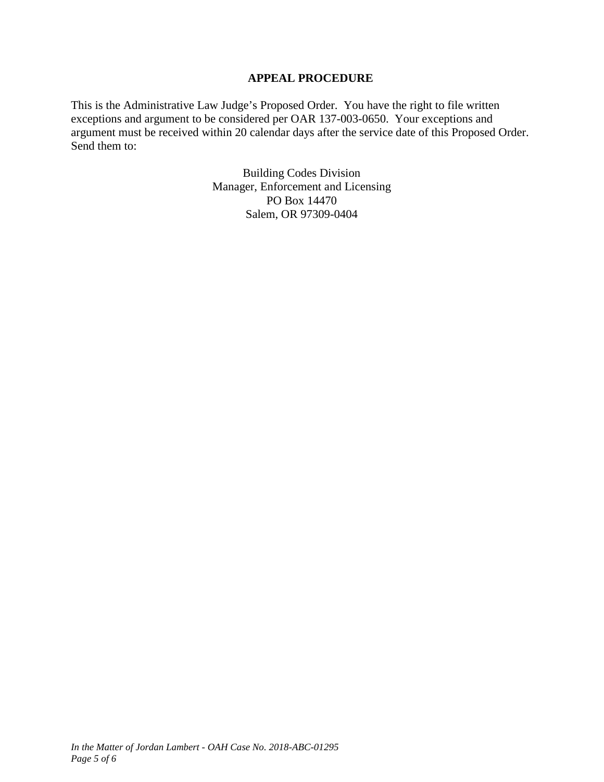### **APPEAL PROCEDURE**

This is the Administrative Law Judge's Proposed Order. You have the right to file written exceptions and argument to be considered per OAR 137-003-0650. Your exceptions and argument must be received within 20 calendar days after the service date of this Proposed Order. Send them to:

> Building Codes Division Manager, Enforcement and Licensing PO Box 14470 Salem, OR 97309-0404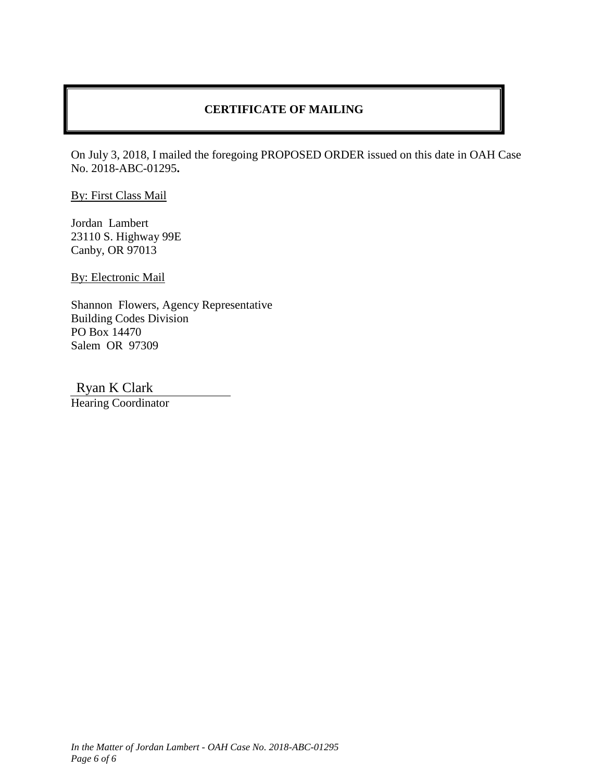### **CERTIFICATE OF MAILING**

On July 3, 2018, I mailed the foregoing PROPOSED ORDER issued on this date in OAH Case No. 2018-ABC-01295**.**

By: First Class Mail

Jordan Lambert 23110 S. Highway 99E Canby, OR 97013

By: Electronic Mail

Shannon Flowers, Agency Representative Building Codes Division PO Box 14470 Salem OR 97309

Ryan K Clark

Hearing Coordinator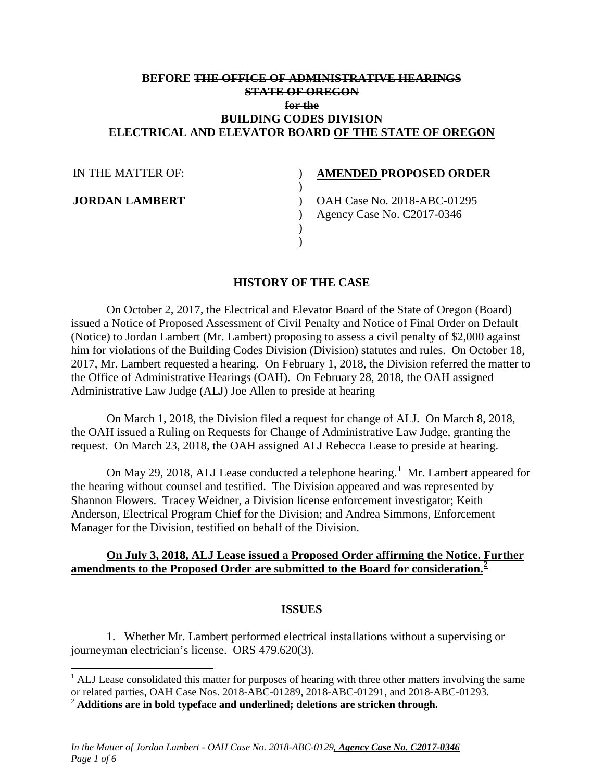### **BEFORE THE OFFICE OF ADMINISTRATIVE HEARINGS STATE OF OREGON for the BUILDING CODES DIVISION ELECTRICAL AND ELEVATOR BOARD OF THE STATE OF OREGON**

 $\lambda$  $\lambda$ 

 $\mathcal{L}$ ) )

| IN THE MATTER OF: |
|-------------------|
|-------------------|

**JORDAN LAMBERT**

### **AMENDED PROPOSED ORDER**

) OAH Case No. 2018-ABC-01295 Agency Case No. C2017-0346

### **HISTORY OF THE CASE**

On October 2, 2017, the Electrical and Elevator Board of the State of Oregon (Board) issued a Notice of Proposed Assessment of Civil Penalty and Notice of Final Order on Default (Notice) to Jordan Lambert (Mr. Lambert) proposing to assess a civil penalty of \$2,000 against him for violations of the Building Codes Division (Division) statutes and rules. On October 18, 2017, Mr. Lambert requested a hearing. On February 1, 2018, the Division referred the matter to the Office of Administrative Hearings (OAH). On February 28, 2018, the OAH assigned Administrative Law Judge (ALJ) Joe Allen to preside at hearing

On March 1, 2018, the Division filed a request for change of ALJ. On March 8, 2018, the OAH issued a Ruling on Requests for Change of Administrative Law Judge, granting the request. On March 23, 2018, the OAH assigned ALJ Rebecca Lease to preside at hearing.

On May 29, 20[1](#page-30-0)8, ALJ Lease conducted a telephone hearing.<sup>1</sup> Mr. Lambert appeared for the hearing without counsel and testified. The Division appeared and was represented by Shannon Flowers. Tracey Weidner, a Division license enforcement investigator; Keith Anderson, Electrical Program Chief for the Division; and Andrea Simmons, Enforcement Manager for the Division, testified on behalf of the Division.

### **On July 3, 2018, ALJ Lease issued a Proposed Order affirming the Notice. Further amendments to the Proposed Order are submitted to the Board for consideration.[2](#page-30-1)**

### **ISSUES**

1. Whether Mr. Lambert performed electrical installations without a supervising or journeyman electrician's license. ORS 479.620(3).

<span id="page-30-0"></span> $<sup>1</sup>$  ALJ Lease consolidated this matter for purposes of hearing with three other matters involving the same</sup> or related parties, OAH Case Nos. 2018-ABC-01289, 2018-ABC-01291, and 2018-ABC-01293.

<span id="page-30-1"></span><sup>2</sup> **Additions are in bold typeface and underlined; deletions are stricken through.**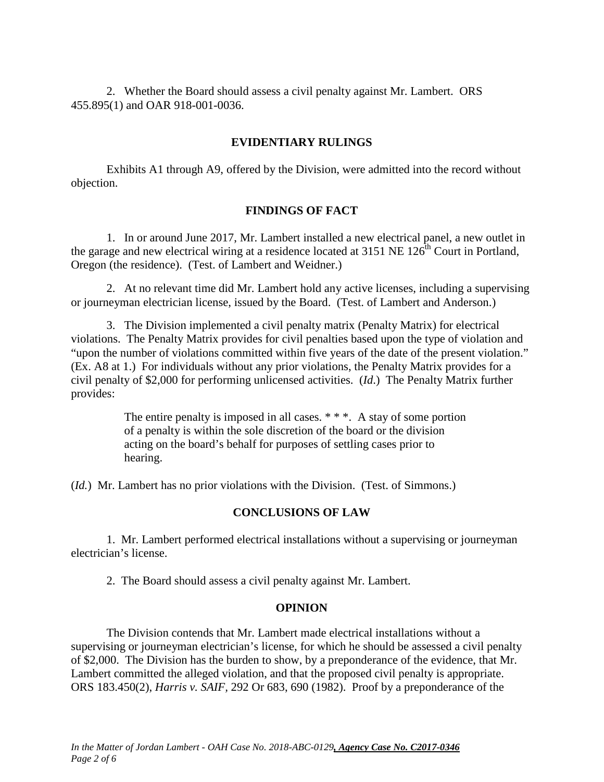2. Whether the Board should assess a civil penalty against Mr. Lambert. ORS 455.895(1) and OAR 918-001-0036.

### **EVIDENTIARY RULINGS**

Exhibits A1 through A9, offered by the Division, were admitted into the record without objection.

### **FINDINGS OF FACT**

1. In or around June 2017, Mr. Lambert installed a new electrical panel, a new outlet in the garage and new electrical wiring at a residence located at 3151 NE  $126^{th}$  Court in Portland, Oregon (the residence). (Test. of Lambert and Weidner.)

2. At no relevant time did Mr. Lambert hold any active licenses, including a supervising or journeyman electrician license, issued by the Board. (Test. of Lambert and Anderson.)

3. The Division implemented a civil penalty matrix (Penalty Matrix) for electrical violations. The Penalty Matrix provides for civil penalties based upon the type of violation and "upon the number of violations committed within five years of the date of the present violation." (Ex. A8 at 1.) For individuals without any prior violations, the Penalty Matrix provides for a civil penalty of \$2,000 for performing unlicensed activities. (*Id*.) The Penalty Matrix further provides:

> The entire penalty is imposed in all cases. \* \* \*. A stay of some portion of a penalty is within the sole discretion of the board or the division acting on the board's behalf for purposes of settling cases prior to hearing.

(*Id.*) Mr. Lambert has no prior violations with the Division. (Test. of Simmons.)

### **CONCLUSIONS OF LAW**

1. Mr. Lambert performed electrical installations without a supervising or journeyman electrician's license.

2. The Board should assess a civil penalty against Mr. Lambert.

### **OPINION**

The Division contends that Mr. Lambert made electrical installations without a supervising or journeyman electrician's license, for which he should be assessed a civil penalty of \$2,000. The Division has the burden to show, by a preponderance of the evidence, that Mr. Lambert committed the alleged violation, and that the proposed civil penalty is appropriate. ORS 183.450(2), *Harris v. SAIF,* 292 Or 683, 690 (1982). Proof by a preponderance of the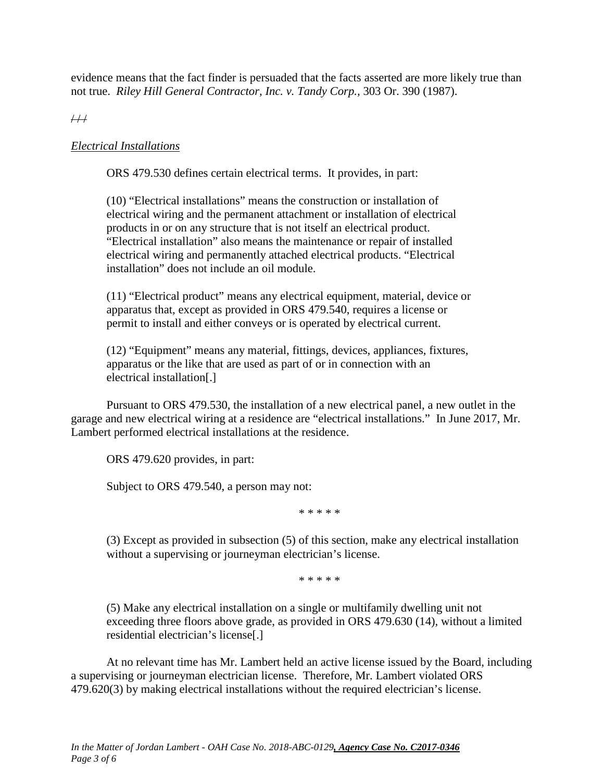evidence means that the fact finder is persuaded that the facts asserted are more likely true than not true. *Riley Hill General Contractor, Inc. v. Tandy Corp.,* 303 Or. 390 (1987).

 $\overline{H}$ 

### *Electrical Installations*

ORS 479.530 defines certain electrical terms. It provides, in part:

(10) "Electrical installations" means the construction or installation of electrical wiring and the permanent attachment or installation of electrical products in or on any structure that is not itself an electrical product. "Electrical installation" also means the maintenance or repair of installed electrical wiring and permanently attached electrical products. "Electrical installation" does not include an oil module.

(11) "Electrical product" means any electrical equipment, material, device or apparatus that, except as provided in ORS 479.540, requires a license or permit to install and either conveys or is operated by electrical current.

(12) "Equipment" means any material, fittings, devices, appliances, fixtures, apparatus or the like that are used as part of or in connection with an electrical installation[.]

Pursuant to ORS 479.530, the installation of a new electrical panel, a new outlet in the garage and new electrical wiring at a residence are "electrical installations." In June 2017, Mr. Lambert performed electrical installations at the residence.

ORS 479.620 provides, in part:

Subject to ORS 479.540, a person may not:

\* \* \* \* \*

(3) Except as provided in subsection (5) of this section, make any electrical installation without a supervising or journeyman electrician's license.

\* \* \* \* \*

(5) Make any electrical installation on a single or multifamily dwelling unit not exceeding three floors above grade, as provided in ORS 479.630 (14), without a limited residential electrician's license[.]

At no relevant time has Mr. Lambert held an active license issued by the Board, including a supervising or journeyman electrician license. Therefore, Mr. Lambert violated ORS 479.620(3) by making electrical installations without the required electrician's license.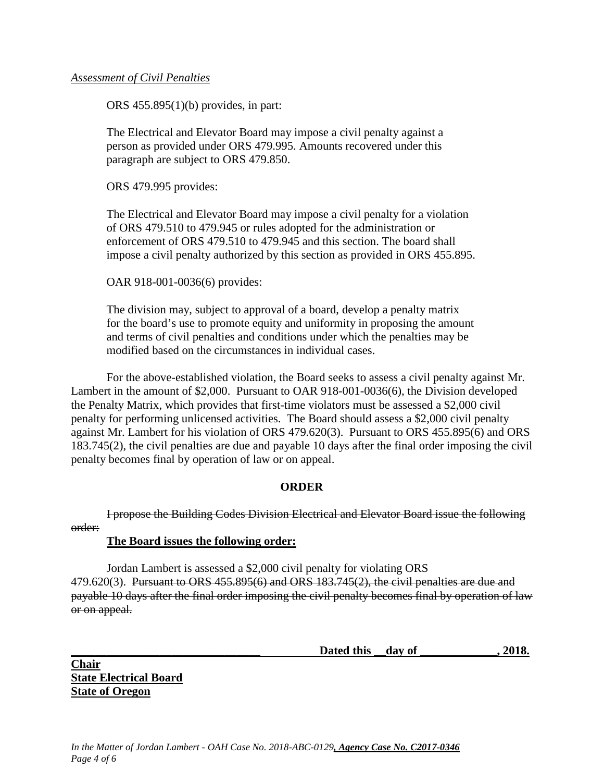### *Assessment of Civil Penalties*

ORS 455.895(1)(b) provides, in part:

The Electrical and Elevator Board may impose a civil penalty against a person as provided under ORS 479.995. Amounts recovered under this paragraph are subject to ORS 479.850.

ORS 479.995 provides:

The Electrical and Elevator Board may impose a civil penalty for a violation of ORS 479.510 to 479.945 or rules adopted for the administration or enforcement of ORS 479.510 to 479.945 and this section. The board shall impose a civil penalty authorized by this section as provided in ORS 455.895.

OAR 918-001-0036(6) provides:

The division may, subject to approval of a board, develop a penalty matrix for the board's use to promote equity and uniformity in proposing the amount and terms of civil penalties and conditions under which the penalties may be modified based on the circumstances in individual cases.

For the above-established violation, the Board seeks to assess a civil penalty against Mr. Lambert in the amount of \$2,000. Pursuant to OAR 918-001-0036(6), the Division developed the Penalty Matrix, which provides that first-time violators must be assessed a \$2,000 civil penalty for performing unlicensed activities. The Board should assess a \$2,000 civil penalty against Mr. Lambert for his violation of ORS 479.620(3). Pursuant to ORS 455.895(6) and ORS 183.745(2), the civil penalties are due and payable 10 days after the final order imposing the civil penalty becomes final by operation of law or on appeal.

### **ORDER**

I propose the Building Codes Division Electrical and Elevator Board issue the following order:

### **The Board issues the following order:**

Jordan Lambert is assessed a \$2,000 civil penalty for violating ORS 479.620(3). Pursuant to ORS 455.895(6) and ORS 183.745(2), the civil penalties are due and payable 10 days after the final order imposing the civil penalty becomes final by operation of law or on appeal.

Dated this <u>day of 3018.</u>

**Chair State Electrical Board State of Oregon**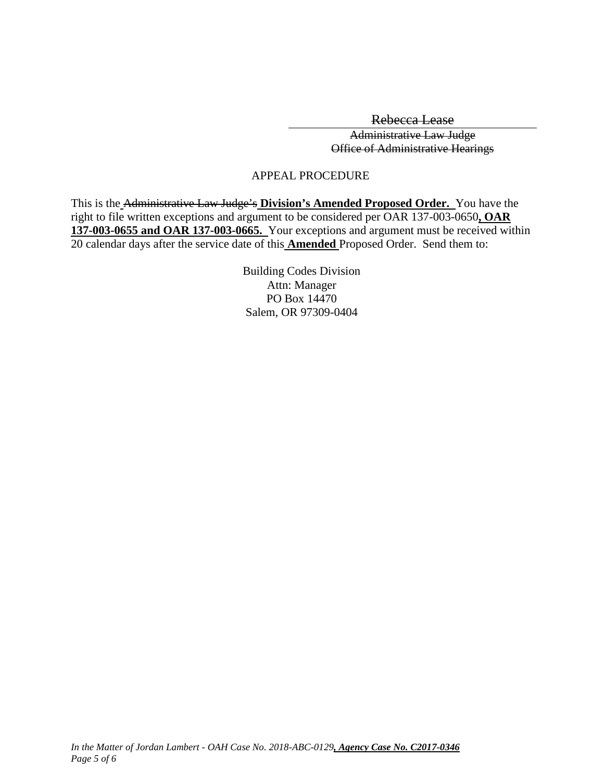Rebecca Lease

Administrative Law Judge Office of Administrative Hearings

### APPEAL PROCEDURE

This is the Administrative Law Judge's **Division's Amended Proposed Order.** You have the right to file written exceptions and argument to be considered per OAR 137-003-0650**, OAR 137-003-0655 and OAR 137-003-0665.** Your exceptions and argument must be received within 20 calendar days after the service date of this **Amended** Proposed Order. Send them to:

> Building Codes Division Attn: Manager PO Box 14470 Salem, OR 97309-0404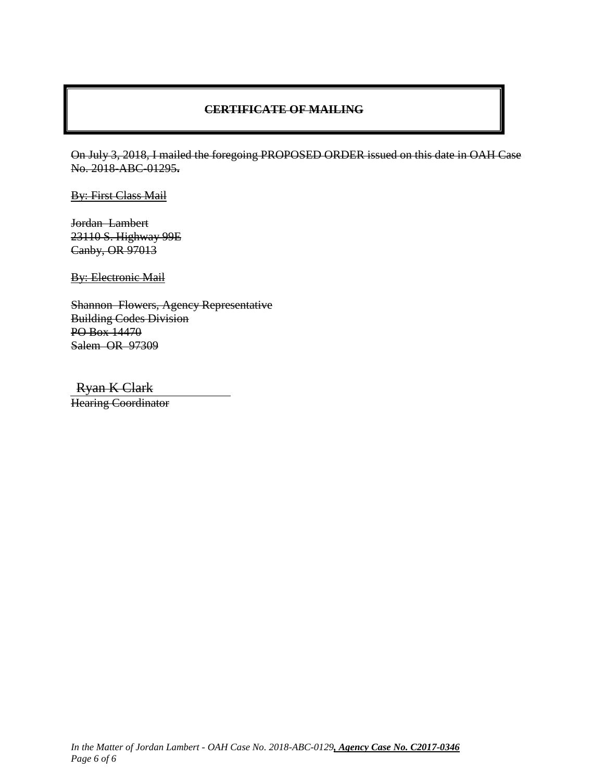### **CERTIFICATE OF MAILING**

On July 3, 2018, I mailed the foregoing PROPOSED ORDER issued on this date in OAH Case No. 2018-ABC-01295**.**

By: First Class Mail

Jordan Lambert 23110 S. Highway 99E Canby, OR 97013

**By: Electronic Mail** 

Shannon Flowers, Agency Representative Building Codes Division PO Box 14470 Salem OR 97309

Ryan K Clark

Hearing Coordinator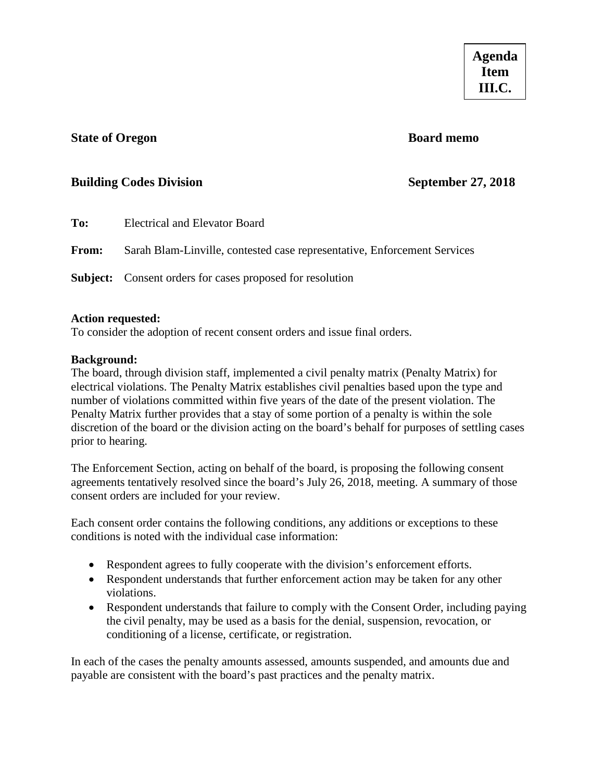### <span id="page-36-0"></span>**State of Oregon Board memo**

### **Building Codes Division September 27, 2018**

| To:          | Electrical and Elevator Board                                            |
|--------------|--------------------------------------------------------------------------|
| <b>From:</b> | Sarah Blam-Linville, contested case representative, Enforcement Services |
|              | <b>Subject:</b> Consent orders for cases proposed for resolution         |

### **Action requested:**

To consider the adoption of recent consent orders and issue final orders.

### **Background:**

The board, through division staff, implemented a civil penalty matrix (Penalty Matrix) for electrical violations. The Penalty Matrix establishes civil penalties based upon the type and number of violations committed within five years of the date of the present violation. The Penalty Matrix further provides that a stay of some portion of a penalty is within the sole discretion of the board or the division acting on the board's behalf for purposes of settling cases prior to hearing.

The Enforcement Section, acting on behalf of the board, is proposing the following consent agreements tentatively resolved since the board's July 26, 2018, meeting. A summary of those consent orders are included for your review.

Each consent order contains the following conditions, any additions or exceptions to these conditions is noted with the individual case information:

- Respondent agrees to fully cooperate with the division's enforcement efforts.
- Respondent understands that further enforcement action may be taken for any other violations.
- Respondent understands that failure to comply with the Consent Order, including paying the civil penalty, may be used as a basis for the denial, suspension, revocation, or conditioning of a license, certificate, or registration.

In each of the cases the penalty amounts assessed, amounts suspended, and amounts due and payable are consistent with the board's past practices and the penalty matrix.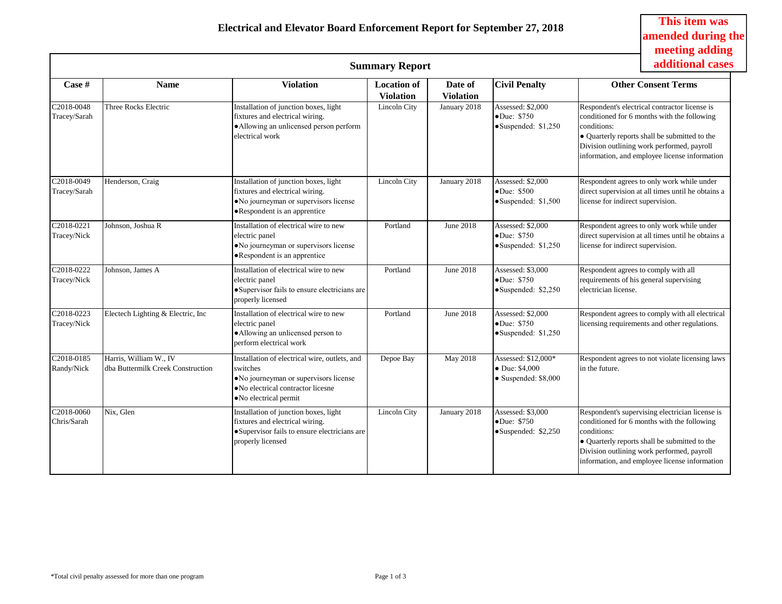**This item was amended during the** 

|                                          |                                                             |                                                                                                                                                                             | <b>Summary Report</b>                  |                             |                                                                               | meeting adding<br>additional cases                                                                                                                                                                                                                            |  |  |
|------------------------------------------|-------------------------------------------------------------|-----------------------------------------------------------------------------------------------------------------------------------------------------------------------------|----------------------------------------|-----------------------------|-------------------------------------------------------------------------------|---------------------------------------------------------------------------------------------------------------------------------------------------------------------------------------------------------------------------------------------------------------|--|--|
| Case #                                   | <b>Name</b>                                                 | <b>Violation</b>                                                                                                                                                            | <b>Location of</b><br><b>Violation</b> | Date of<br><b>Violation</b> | <b>Civil Penalty</b>                                                          | <b>Other Consent Terms</b>                                                                                                                                                                                                                                    |  |  |
| C2018-0048<br>Tracey/Sarah               | Three Rocks Electric                                        | Installation of junction boxes, light<br>fixtures and electrical wiring.<br>· Allowing an unlicensed person perform<br>electrical work                                      | Lincoln City                           | January 2018                | Assessed: \$2,000<br>•Due: \$750<br>•Suspended: \$1,250                       | Respondent's electrical contractor license is<br>conditioned for 6 months with the following<br>conditions:<br>• Quarterly reports shall be submitted to the<br>Division outlining work performed, payroll<br>information, and employee license information   |  |  |
| C2018-0049<br>Tracey/Sarah               | Henderson, Craig                                            | Installation of junction boxes, light<br>fixtures and electrical wiring.<br>· No journeyman or supervisors license<br>•Respondent is an apprentice                          | Lincoln City                           | January 2018                | Assessed: \$2,000<br>$\bullet$ Due: \$500<br>•Suspended: \$1,500              | Respondent agrees to only work while under<br>direct supervision at all times until he obtains a<br>license for indirect supervision.                                                                                                                         |  |  |
| C <sub>2018-0221</sub><br>Tracey/Nick    | Johnson, Joshua R                                           | Installation of electrical wire to new<br>electric panel<br>• No journeyman or supervisors license<br>• Respondent is an apprentice                                         | Portland                               | June 2018                   | Assessed: \$2,000<br>$\bullet$ Due: \$750<br>$\bullet$ Suspended: \$1,250     | Respondent agrees to only work while under<br>direct supervision at all times until he obtains a<br>license for indirect supervision.                                                                                                                         |  |  |
| C2018-0222<br>Tracey/Nick                | Johnson, James A                                            | Installation of electrical wire to new<br>electric panel<br>· Supervisor fails to ensure electricians are<br>properly licensed                                              | Portland                               | June 2018                   | Assessed: \$3,000<br>$\bullet$ Due: \$750<br>$\bullet$ Suspended: \$2,250     | Respondent agrees to comply with all<br>requirements of his general supervising<br>electrician license.                                                                                                                                                       |  |  |
| $\overline{C2018} - 0223$<br>Tracey/Nick | Electech Lighting & Electric, Inc.                          | Installation of electrical wire to new<br>electric panel<br>• Allowing an unlicensed person to<br>perform electrical work                                                   | Portland                               | June 2018                   | Assessed: \$2,000<br>$\bullet$ Due: \$750<br>$\bullet$ Suspended: \$1,250     | Respondent agrees to comply with all electrical<br>licensing requirements and other regulations.                                                                                                                                                              |  |  |
| C2018-0185<br>Randy/Nick                 | Harris, William W., IV<br>dba Buttermilk Creek Construction | Installation of electrical wire, outlets, and<br>switches<br>• No journeyman or supervisors license<br>• No electrical contractor licesne<br>$\bullet$ No electrical permit | Depoe Bay                              | May 2018                    | Assessed: \$12,000*<br>$\bullet$ Due: \$4,000<br>$\bullet$ Suspended: \$8,000 | Respondent agrees to not violate licensing laws<br>in the future.                                                                                                                                                                                             |  |  |
| C2018-0060<br>Chris/Sarah                | Nix, Glen                                                   | Installation of junction boxes, light<br>fixtures and electrical wiring.<br>·Supervisor fails to ensure electricians are<br>properly licensed                               | Lincoln City                           | January 2018                | Assessed: \$3,000<br>$\bullet$ Due: \$750<br>Suspended: \$2,250               | Respondent's supervising electrician license is<br>conditioned for 6 months with the following<br>conditions:<br>• Quarterly reports shall be submitted to the<br>Division outlining work performed, payroll<br>information, and employee license information |  |  |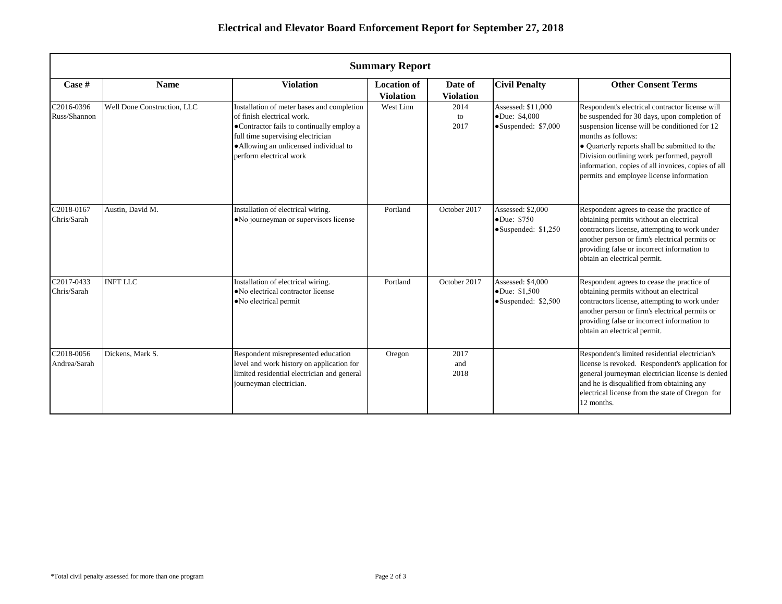|                            | <b>Summary Report</b>                                                                                                                                                                                                                                                                                              |                                                                                                                                                            |                                                    |                                                                                                                                                                                                                                                                                                                                                                         |                                                                             |                                                                                                                                                                                                                                                                         |
|----------------------------|--------------------------------------------------------------------------------------------------------------------------------------------------------------------------------------------------------------------------------------------------------------------------------------------------------------------|------------------------------------------------------------------------------------------------------------------------------------------------------------|----------------------------------------------------|-------------------------------------------------------------------------------------------------------------------------------------------------------------------------------------------------------------------------------------------------------------------------------------------------------------------------------------------------------------------------|-----------------------------------------------------------------------------|-------------------------------------------------------------------------------------------------------------------------------------------------------------------------------------------------------------------------------------------------------------------------|
| Case #                     | <b>Name</b>                                                                                                                                                                                                                                                                                                        | <b>Violation</b>                                                                                                                                           | <b>Location of</b><br><b>Violation</b>             | Date of<br><b>Violation</b>                                                                                                                                                                                                                                                                                                                                             | <b>Civil Penalty</b>                                                        | <b>Other Consent Terms</b>                                                                                                                                                                                                                                              |
| C2016-0396<br>Russ/Shannon | Well Done Construction, LLC<br>Installation of meter bases and completion<br>West Linn<br>2014<br>of finish electrical work.<br>•Due: \$4,000<br>to<br>•Contractor fails to continually employ a<br>2017<br>full time supervising electrician<br>• Allowing an unlicensed individual to<br>perform electrical work |                                                                                                                                                            | Assessed: \$11,000<br>$\bullet$ Suspended: \$7,000 | Respondent's electrical contractor license will<br>be suspended for 30 days, upon completion of<br>suspension license will be conditioned for 12<br>months as follows:<br>• Quarterly reports shall be submitted to the<br>Division outlining work performed, payroll<br>information, copies of all invoices, copies of all<br>permits and employee license information |                                                                             |                                                                                                                                                                                                                                                                         |
| C2018-0167<br>Chris/Sarah  | Austin, David M.                                                                                                                                                                                                                                                                                                   | Installation of electrical wiring.<br>• No journeyman or supervisors license                                                                               | Portland                                           | October 2017                                                                                                                                                                                                                                                                                                                                                            | Assessed: \$2,000<br>•Due: \$750<br>$\bullet$ Suspended: \$1,250            | Respondent agrees to cease the practice of<br>obtaining permits without an electrical<br>contractors license, attempting to work under<br>another person or firm's electrical permits or<br>providing false or incorrect information to<br>obtain an electrical permit. |
| C2017-0433<br>Chris/Sarah  | <b>INFT LLC</b>                                                                                                                                                                                                                                                                                                    | Installation of electrical wiring.<br>• No electrical contractor license<br>• No electrical permit                                                         | Portland                                           | October 2017                                                                                                                                                                                                                                                                                                                                                            | Assessed: \$4,000<br>$\bullet$ Due: \$1,500<br>$\bullet$ Suspended: \$2,500 | Respondent agrees to cease the practice of<br>obtaining permits without an electrical<br>contractors license, attempting to work under<br>another person or firm's electrical permits or<br>providing false or incorrect information to<br>obtain an electrical permit. |
| C2018-0056<br>Andrea/Sarah | Dickens, Mark S.                                                                                                                                                                                                                                                                                                   | Respondent misrepresented education<br>level and work history on application for<br>limited residential electrician and general<br>journeyman electrician. | Oregon                                             | 2017<br>and<br>2018                                                                                                                                                                                                                                                                                                                                                     |                                                                             | Respondent's limited residential electrician's<br>license is revoked. Respondent's application for<br>general journeyman electrician license is denied<br>and he is disqualified from obtaining any<br>electrical license from the state of Oregon for<br>12 months.    |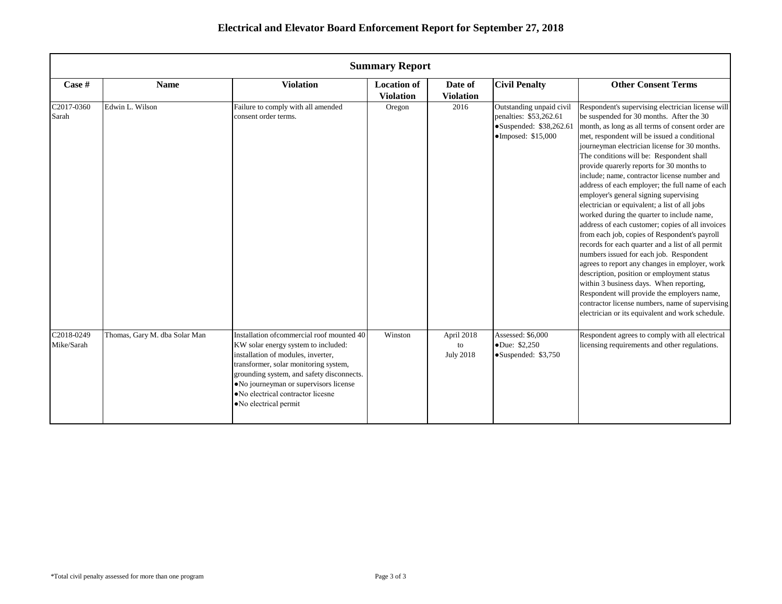|                          | <b>Summary Report</b>         |                                                                                                                                                                                                                                                                                                                         |                                        |                                      |                                                                                                                       |                                                                                                                                                                                                                                                                                                                                                                                                                                                                                                                                                                                                                                                                                                                                                                                                                                                                                                                                                                                                                                                                                               |
|--------------------------|-------------------------------|-------------------------------------------------------------------------------------------------------------------------------------------------------------------------------------------------------------------------------------------------------------------------------------------------------------------------|----------------------------------------|--------------------------------------|-----------------------------------------------------------------------------------------------------------------------|-----------------------------------------------------------------------------------------------------------------------------------------------------------------------------------------------------------------------------------------------------------------------------------------------------------------------------------------------------------------------------------------------------------------------------------------------------------------------------------------------------------------------------------------------------------------------------------------------------------------------------------------------------------------------------------------------------------------------------------------------------------------------------------------------------------------------------------------------------------------------------------------------------------------------------------------------------------------------------------------------------------------------------------------------------------------------------------------------|
| Case #                   | <b>Name</b>                   | <b>Violation</b>                                                                                                                                                                                                                                                                                                        | <b>Location of</b><br><b>Violation</b> | Date of<br><b>Violation</b>          | <b>Civil Penalty</b>                                                                                                  | <b>Other Consent Terms</b>                                                                                                                                                                                                                                                                                                                                                                                                                                                                                                                                                                                                                                                                                                                                                                                                                                                                                                                                                                                                                                                                    |
| C2017-0360<br>Sarah      | Edwin L. Wilson               | Failure to comply with all amended<br>consent order terms.                                                                                                                                                                                                                                                              | Oregon                                 | 2016                                 | Outstanding unpaid civil<br>penalties: \$53,262.61<br>$\bullet$ Suspended: \$38,262.61<br>$\bullet$ Imposed: \$15,000 | Respondent's supervising electrician license will<br>be suspended for 30 months. After the 30<br>month, as long as all terms of consent order are<br>met, respondent will be issued a conditional<br>journeyman electrician license for 30 months.<br>The conditions will be: Respondent shall<br>provide quarerly reports for 30 months to<br>include; name, contractor license number and<br>address of each employer; the full name of each<br>employer's general signing supervising<br>electrician or equivalent; a list of all jobs<br>worked during the quarter to include name,<br>address of each customer; copies of all invoices<br>from each job, copies of Respondent's payroll<br>records for each quarter and a list of all permit<br>numbers issued for each job. Respondent<br>agrees to report any changes in employer, work<br>description, position or employment status<br>within 3 business days. When reporting,<br>Respondent will provide the employers name,<br>contractor license numbers, name of supervising<br>electrician or its equivalent and work schedule. |
| C2018-0249<br>Mike/Sarah | Thomas, Gary M. dba Solar Man | Installation of commercial roof mounted 40<br>KW solar energy system to included:<br>installation of modules, inverter,<br>transformer, solar monitoring system,<br>grounding system, and safety disconnects.<br>• No journeyman or supervisors license<br>• No electrical contractor licesne<br>• No electrical permit | Winston                                | April 2018<br>to<br><b>July 2018</b> | Assessed: \$6,000<br>$\bullet$ Due: \$2,250<br>$\bullet$ Suspended: \$3,750                                           | Respondent agrees to comply with all electrical<br>licensing requirements and other regulations.                                                                                                                                                                                                                                                                                                                                                                                                                                                                                                                                                                                                                                                                                                                                                                                                                                                                                                                                                                                              |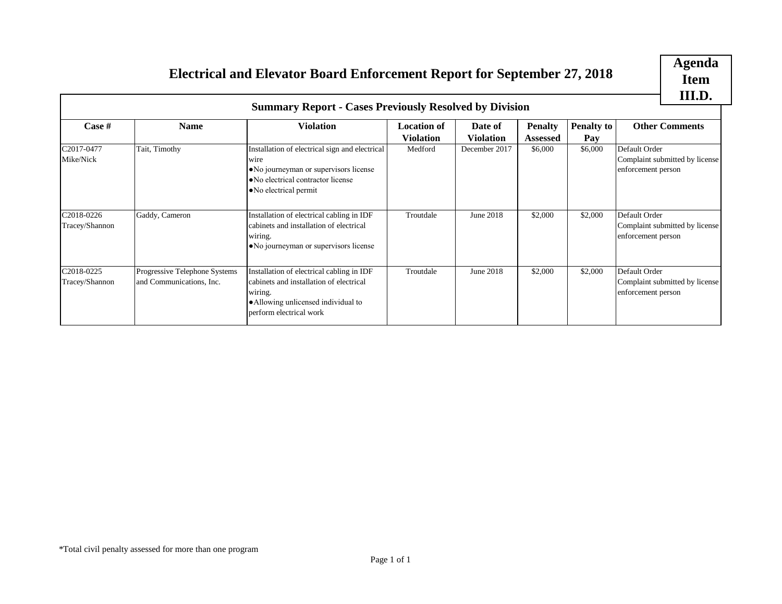# **Item III.D.**

# **Electrical and Elevator Board Enforcement Report for September 27, 2018**

<span id="page-40-0"></span>

| Electrical and Elevator Board Enforcement Report for September 27, 2018 |                                                           |                                                                                                                                                                   |                                        |                             |                            | <b>Agenda</b><br><b>Item</b><br>III.D. |                                                                       |                                                      |  |
|-------------------------------------------------------------------------|-----------------------------------------------------------|-------------------------------------------------------------------------------------------------------------------------------------------------------------------|----------------------------------------|-----------------------------|----------------------------|----------------------------------------|-----------------------------------------------------------------------|------------------------------------------------------|--|
|                                                                         |                                                           | <b>Summary Report - Cases Previously Resolved by Division</b>                                                                                                     |                                        |                             |                            |                                        |                                                                       |                                                      |  |
| Case #                                                                  | <b>Name</b>                                               | <b>Violation</b>                                                                                                                                                  | <b>Location of</b><br><b>Violation</b> | Date of<br><b>Violation</b> | <b>Penalty</b><br>Assessed | <b>Penalty to</b><br>Pay               |                                                                       | <b>Other Comments</b>                                |  |
| C2017-0477<br>Mike/Nick                                                 | Tait, Timothy                                             | Installation of electrical sign and electrical<br>wire<br>· No journeyman or supervisors license<br>· No electrical contractor license<br>• No electrical permit  | Medford                                | December 2017               | \$6,000                    | \$6,000                                | Default Order                                                         | Complaint submitted by license<br>enforcement person |  |
| C2018-0226<br>Tracey/Shannon                                            | Gaddy, Cameron                                            | Installation of electrical cabling in IDF<br>cabinets and installation of electrical<br>wiring.<br>• No journeyman or supervisors license                         | Troutdale                              | June 2018                   | \$2,000                    | \$2,000                                | Default Order<br>Complaint submitted by license<br>enforcement person |                                                      |  |
| C2018-0225<br>Tracey/Shannon                                            | Progressive Telephone Systems<br>and Communications, Inc. | Installation of electrical cabling in IDF<br>cabinets and installation of electrical<br>wiring.<br>· Allowing unlicensed individual to<br>perform electrical work | Troutdale                              | June 2018                   | \$2,000                    | \$2,000                                | Default Order<br>Complaint submitted by license<br>enforcement person |                                                      |  |
|                                                                         |                                                           |                                                                                                                                                                   |                                        |                             |                            |                                        |                                                                       |                                                      |  |
|                                                                         |                                                           |                                                                                                                                                                   |                                        |                             |                            |                                        |                                                                       |                                                      |  |
|                                                                         |                                                           |                                                                                                                                                                   |                                        |                             |                            |                                        |                                                                       |                                                      |  |
|                                                                         | *Total civil penalty assessed for more than one program   |                                                                                                                                                                   | Page 1 of 1                            |                             |                            |                                        |                                                                       |                                                      |  |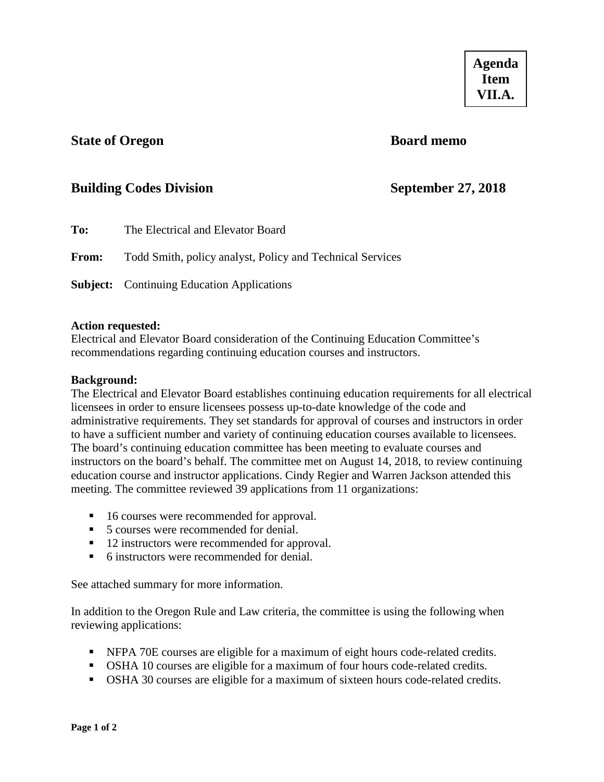### <span id="page-41-0"></span>**State of Oregon Board memo**

## **Building Codes Division September 27, 2018**

| To:          | The Electrical and Elevator Board                         |
|--------------|-----------------------------------------------------------|
| <b>From:</b> | Todd Smith, policy analyst, Policy and Technical Services |
|              | <b>Subject:</b> Continuing Education Applications         |

### **Action requested:**

Electrical and Elevator Board consideration of the Continuing Education Committee's recommendations regarding continuing education courses and instructors.

### **Background:**

The Electrical and Elevator Board establishes continuing education requirements for all electrical licensees in order to ensure licensees possess up-to-date knowledge of the code and administrative requirements. They set standards for approval of courses and instructors in order to have a sufficient number and variety of continuing education courses available to licensees. The board's continuing education committee has been meeting to evaluate courses and instructors on the board's behalf. The committee met on August 14, 2018, to review continuing education course and instructor applications. Cindy Regier and Warren Jackson attended this meeting. The committee reviewed 39 applications from 11 organizations:

- 16 courses were recommended for approval.
- 5 courses were recommended for denial.
- 12 instructors were recommended for approval.
- 6 instructors were recommended for denial.

See attached summary for more information.

In addition to the Oregon Rule and Law criteria, the committee is using the following when reviewing applications:

- NFPA 70E courses are eligible for a maximum of eight hours code-related credits.
- OSHA 10 courses are eligible for a maximum of four hours code-related credits.
- OSHA 30 courses are eligible for a maximum of sixteen hours code-related credits.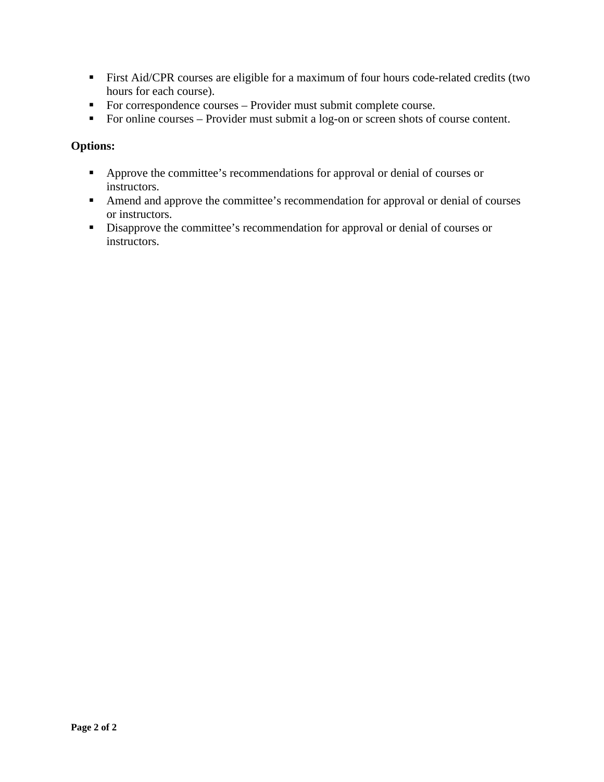- First Aid/CPR courses are eligible for a maximum of four hours code-related credits (two hours for each course).
- For correspondence courses Provider must submit complete course.
- For online courses Provider must submit a log-on or screen shots of course content.

### **Options:**

- Approve the committee's recommendations for approval or denial of courses or instructors.
- Amend and approve the committee's recommendation for approval or denial of courses or instructors.
- Disapprove the committee's recommendation for approval or denial of courses or instructors.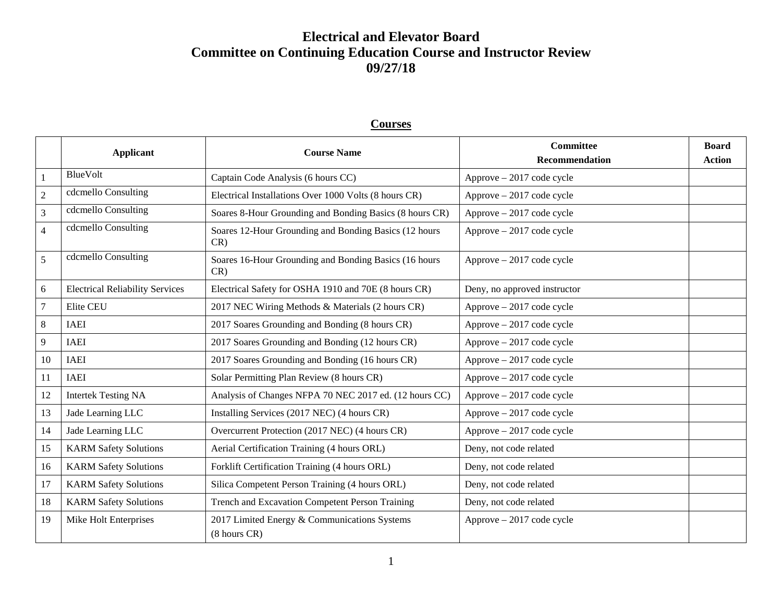# **Electrical and Elevator Board Committee on Continuing Education Course and Instructor Review 09/27/18**

### **Applicant Course Name Committee Recommendation Board Action** 1 BlueVolt Captain Code Analysis (6 hours CC) Approve – 2017 code cycle 2 cdcmello Consulting Electrical Installations Over 1000 Volts (8 hours CR) Approve – 2017 code cycle  $\frac{3}{3}$  cdcmello Consulting Soares 8-Hour Grounding and Bonding Basics (8 hours CR) Approve – 2017 code cycle 4 | cdcmello Consulting | Soares 12-Hour Grounding and Bonding Basics (12 hours CR) Approve – 2017 code cycle 5 cdcmello Consulting Soares 16-Hour Grounding and Bonding Basics (16 hours CR) Approve – 2017 code cycle 6 Electrical Reliability Services Electrical Safety for OSHA 1910 and 70E (8 hours CR) Deny, no approved instructor 7 Elite CEU 2017 NEC Wiring Methods & Materials (2 hours CR) Approve – 2017 code cycle 8 | IAEI 2017 Soares Grounding and Bonding (8 hours CR) Approve – 2017 code cycle 9 IAEI 2017 Soares Grounding and Bonding (12 hours CR) Approve – 2017 code cycle 10 IAEI 2017 Soares Grounding and Bonding (16 hours CR) Approve – 2017 code cycle 11 IAEI Solar Permitting Plan Review (8 hours CR) Approve – 2017 code cycle 12 Intertek Testing NA Analysis of Changes NFPA 70 NEC 2017 ed. (12 hours CC) Approve – 2017 code cycle 13 Jade Learning LLC Installing Services (2017 NEC) (4 hours CR) Approve – 2017 code cycle 14 Jade Learning LLC Dvercurrent Protection (2017 NEC) (4 hours CR) Approve – 2017 code cycle 15 | KARM Safety Solutions | Aerial Certification Training (4 hours ORL) Deny, not code related 16 KARM Safety Solutions Forklift Certification Training (4 hours ORL) Deny, not code related 17 KARM Safety Solutions Silica Competent Person Training (4 hours ORL) Deny, not code related 18 | KARM Safety Solutions | Trench and Excavation Competent Person Training | Deny, not code related 19 | Mike Holt Enterprises | 2017 Limited Energy & Communications Systems (8 hours CR) Approve – 2017 code cycle

**Courses**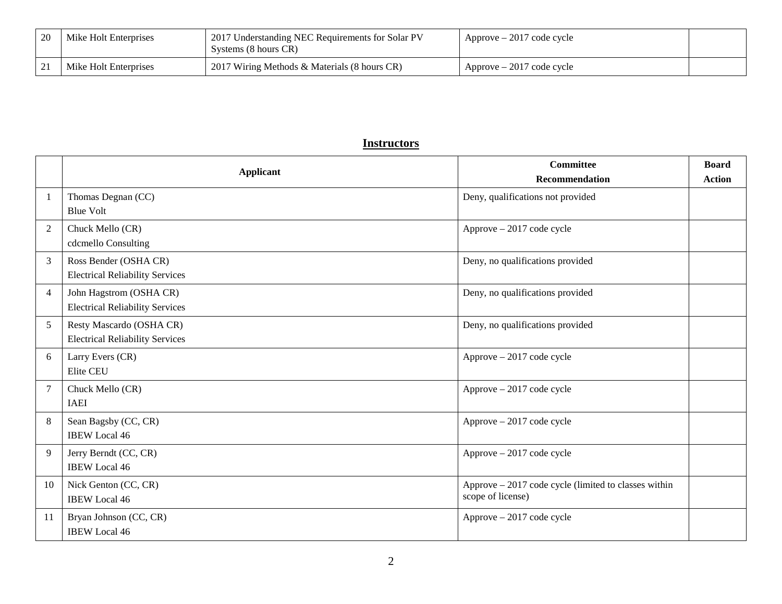| 20 | Mike Holt Enterprises | 2017 Understanding NEC Requirements for Solar PV<br>Systems (8 hours CR) | $Approve - 2017 code cycle$ |  |
|----|-----------------------|--------------------------------------------------------------------------|-----------------------------|--|
| ∠⊥ | Mike Holt Enterprises | 2017 Wiring Methods & Materials (8 hours CR)                             | $Approve - 2017 code cycle$ |  |

### **Instructors**

|                | <b>Applicant</b>                                                   | Committee<br><b>Recommendation</b>                                        | <b>Board</b><br><b>Action</b> |
|----------------|--------------------------------------------------------------------|---------------------------------------------------------------------------|-------------------------------|
| $\mathbf{1}$   | Thomas Degnan (CC)<br><b>Blue Volt</b>                             | Deny, qualifications not provided                                         |                               |
| 2              | Chuck Mello (CR)<br>cdcmello Consulting                            | Approve - 2017 code cycle                                                 |                               |
| 3              | Ross Bender (OSHA CR)<br><b>Electrical Reliability Services</b>    | Deny, no qualifications provided                                          |                               |
| $\overline{4}$ | John Hagstrom (OSHA CR)<br><b>Electrical Reliability Services</b>  | Deny, no qualifications provided                                          |                               |
| 5              | Resty Mascardo (OSHA CR)<br><b>Electrical Reliability Services</b> | Deny, no qualifications provided                                          |                               |
| 6              | Larry Evers (CR)<br>Elite CEU                                      | Approve - 2017 code cycle                                                 |                               |
| $\overline{7}$ | Chuck Mello (CR)<br><b>IAEI</b>                                    | Approve - 2017 code cycle                                                 |                               |
| 8              | Sean Bagsby (CC, CR)<br><b>IBEW Local 46</b>                       | Approve - 2017 code cycle                                                 |                               |
| 9              | Jerry Berndt (CC, CR)<br><b>IBEW</b> Local 46                      | Approve - 2017 code cycle                                                 |                               |
| 10             | Nick Genton (CC, CR)<br><b>IBEW</b> Local 46                       | Approve - 2017 code cycle (limited to classes within<br>scope of license) |                               |
| -11            | Bryan Johnson (CC, CR)<br><b>IBEW</b> Local 46                     | Approve - 2017 code cycle                                                 |                               |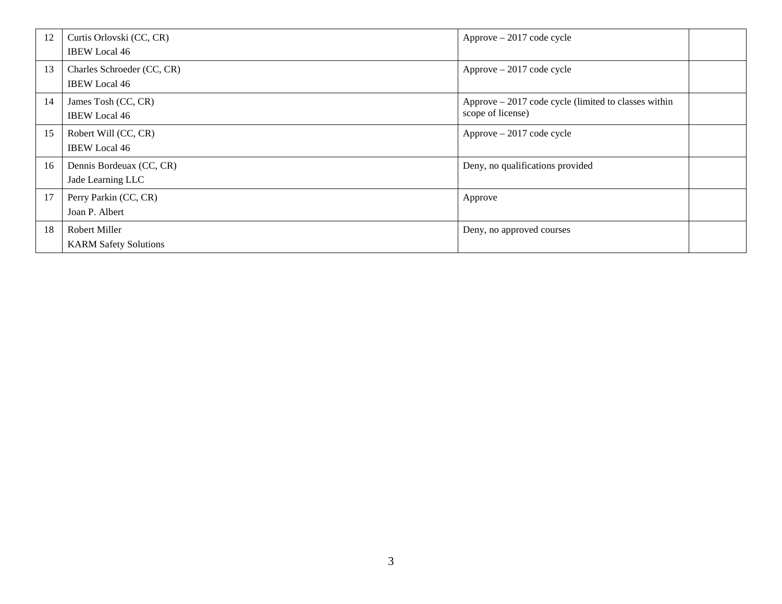| 12 | Curtis Orlovski (CC, CR)     | $Approve - 2017 code cycle$                           |  |
|----|------------------------------|-------------------------------------------------------|--|
|    | <b>IBEW</b> Local 46         |                                                       |  |
| 13 | Charles Schroeder (CC, CR)   | $Approve - 2017 code cycle$                           |  |
|    | <b>IBEW</b> Local 46         |                                                       |  |
| 14 | James Tosh (CC, CR)          | Approve $-2017$ code cycle (limited to classes within |  |
|    | <b>IBEW</b> Local 46         | scope of license)                                     |  |
| 15 | Robert Will (CC, CR)         | $Approve - 2017 code cycle$                           |  |
|    | <b>IBEW</b> Local 46         |                                                       |  |
| 16 | Dennis Bordeuax (CC, CR)     | Deny, no qualifications provided                      |  |
|    | Jade Learning LLC            |                                                       |  |
| 17 | Perry Parkin (CC, CR)        | Approve                                               |  |
|    | Joan P. Albert               |                                                       |  |
| 18 | <b>Robert Miller</b>         | Deny, no approved courses                             |  |
|    | <b>KARM Safety Solutions</b> |                                                       |  |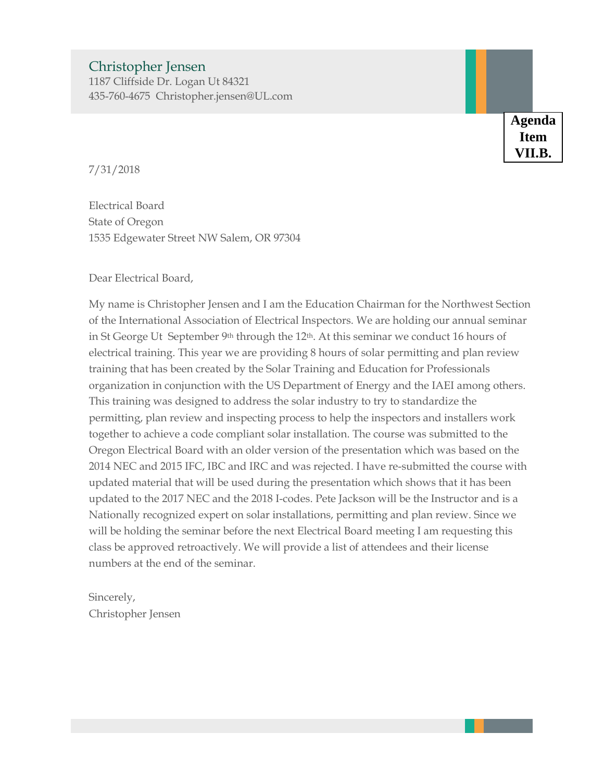# <span id="page-46-0"></span>Christopher Jensen

1187 Cliffside Dr. Logan Ut 84321 435-760-4675 Christopher.jensen@UL.com

> **Agenda Item VII.B.**

7/31/2018

Electrical Board State of Oregon 1535 Edgewater Street NW Salem, OR 97304

Dear Electrical Board,

My name is Christopher Jensen and I am the Education Chairman for the Northwest Section of the International Association of Electrical Inspectors. We are holding our annual seminar in St George Ut September 9<sup>th</sup> through the 12<sup>th</sup>. At this seminar we conduct 16 hours of electrical training. This year we are providing 8 hours of solar permitting and plan review training that has been created by the Solar Training and Education for Professionals organization in conjunction with the US Department of Energy and the IAEI among others. This training was designed to address the solar industry to try to standardize the permitting, plan review and inspecting process to help the inspectors and installers work together to achieve a code compliant solar installation. The course was submitted to the Oregon Electrical Board with an older version of the presentation which was based on the 2014 NEC and 2015 IFC, IBC and IRC and was rejected. I have re-submitted the course with updated material that will be used during the presentation which shows that it has been updated to the 2017 NEC and the 2018 I-codes. Pete Jackson will be the Instructor and is a Nationally recognized expert on solar installations, permitting and plan review. Since we will be holding the seminar before the next Electrical Board meeting I am requesting this class be approved retroactively. We will provide a list of attendees and their license numbers at the end of the seminar.

Sincerely, Christopher Jensen